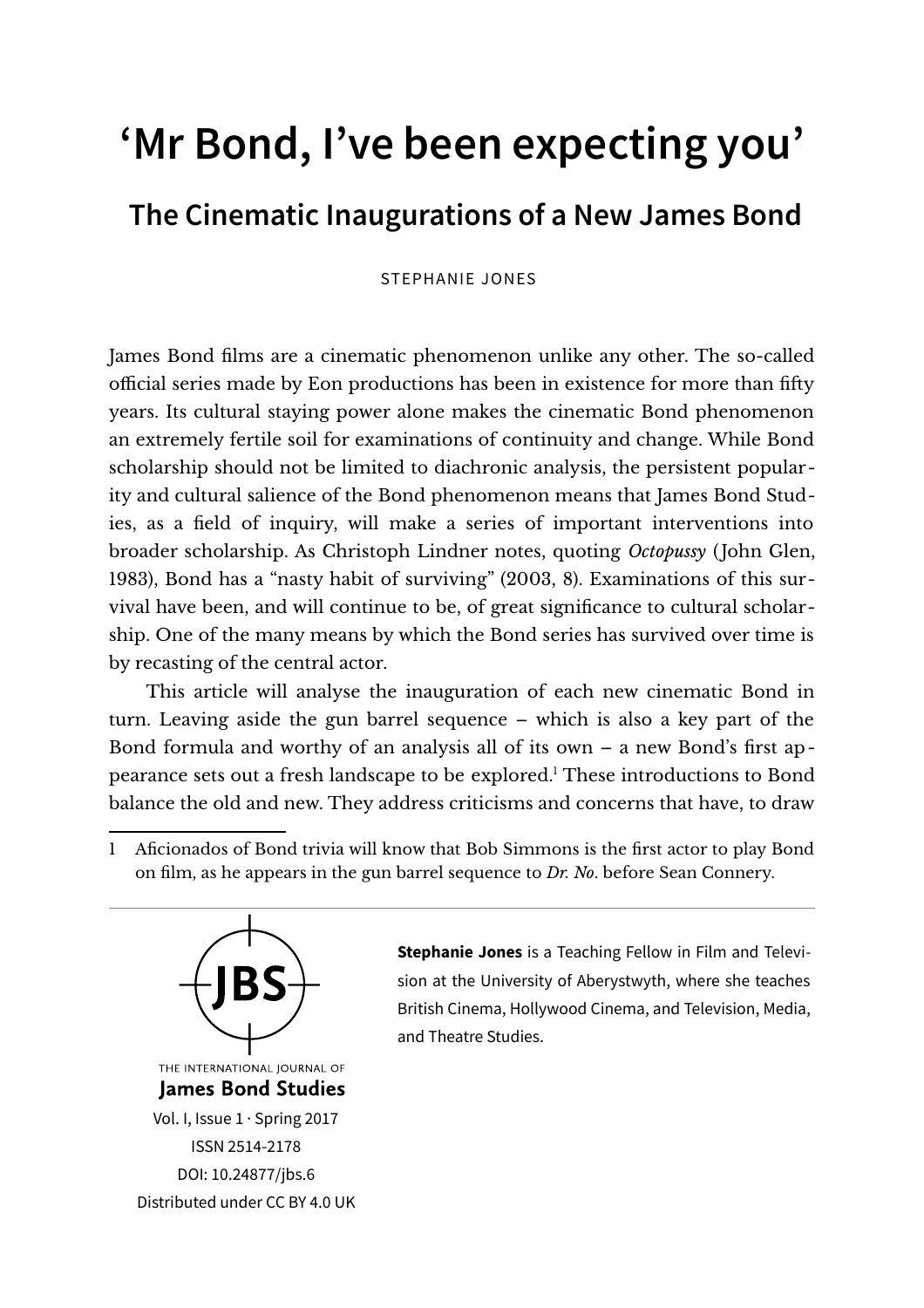# **'Mr Bond, I've been expecting you'**

# **The Cinematic Inaugurations of a New James Bond**

STEPHANIE JONES

James Bond films are a cinematic phenomenon unlike any other. The so-called official series made by Eon productions has been in existence for more than fifty years. Its cultural staying power alone makes the cinematic Bond phenomenon an extremely fertile soil for examinations of continuity and change. While Bond scholarship should not be limited to diachronic analysis, the persistent popularity and cultural salience of the Bond phenomenon means that James Bond Studies, as a field of inquiry, will make a series of important interventions into broader scholarship. As Christoph Lindner notes, quoting *Octopussy* (John Glen, 1983), Bond has a "nasty habit of surviving" (2003, 8). Examinations of this survival have been, and will continue to be, of great significance to cultural scholarship. One of the many means by which the Bond series has survived over time is by recasting of the central actor.

This article will analyse the inauguration of each new cinematic Bond in turn. Leaving aside the gun barrel sequence – which is also a key part of the Bond formula and worthy of an analysis all of its own – a new Bond's first ap-pearance sets out a fresh landscape to be explored.<sup>[1](#page-0-0)</sup> These introductions to Bond balance the old and new. They address criticisms and concerns that have, to draw

<span id="page-0-0"></span>1 Aficionados of Bond trivia will know that Bob Simmons is the first actor to play Bond on film, as he appears in the gun barrel sequence to *Dr. No*. before Sean Connery.



**Stephanie Jones** is a Teaching Fellow in Film and Television at the University of Aberystwyth, where she teaches British Cinema, Hollywood Cinema, and Television, Media, and Theatre Studies.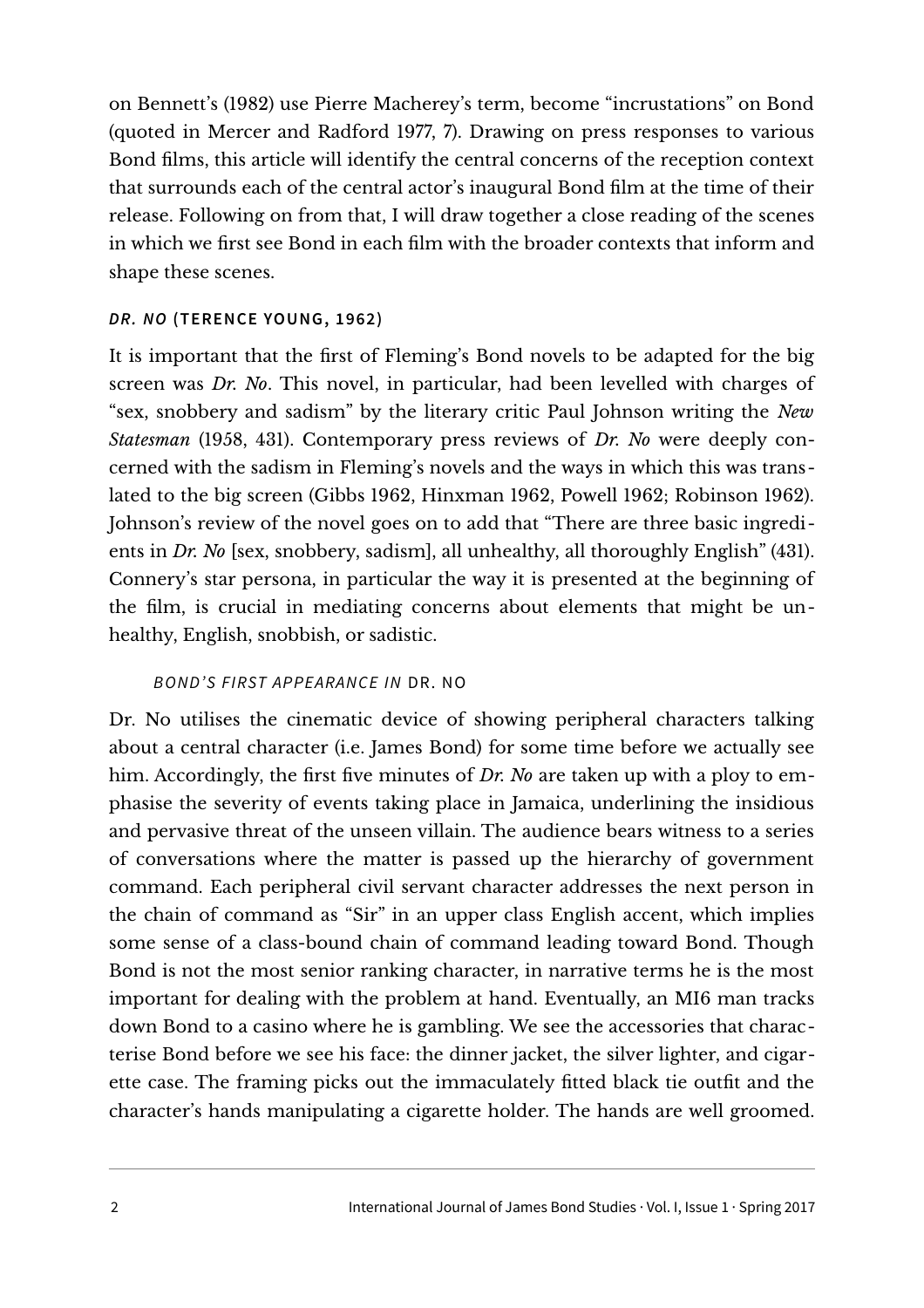on Bennett's (1982) use Pierre Macherey's term, become "incrustations" on Bond (quoted in Mercer and Radford 1977, 7). Drawing on press responses to various Bond films, this article will identify the central concerns of the reception context that surrounds each of the central actor's inaugural Bond film at the time of their release. Following on from that, I will draw together a close reading of the scenes in which we first see Bond in each film with the broader contexts that inform and shape these scenes.

# **DR. NO (TERENCE YOUNG, 1962)**

It is important that the first of Fleming's Bond novels to be adapted for the big screen was *Dr. No*. This novel, in particular, had been levelled with charges of "sex, snobbery and sadism" by the literary critic Paul Johnson writing the *New Statesman* (1958, 431). Contemporary press reviews of *Dr. No* were deeply concerned with the sadism in Fleming's novels and the ways in which this was translated to the big screen (Gibbs 1962, Hinxman 1962, Powell 1962; Robinson 1962). Johnson's review of the novel goes on to add that "There are three basic ingredients in *Dr. No* [sex, snobbery, sadism], all unhealthy, all thoroughly English" (431). Connery's star persona, in particular the way it is presented at the beginning of the film, is crucial in mediating concerns about elements that might be unhealthy, English, snobbish, or sadistic.

# BOND'S FIRST APPEARANCE IN DR. NO

Dr. No utilises the cinematic device of showing peripheral characters talking about a central character (i.e. James Bond) for some time before we actually see him. Accordingly, the first five minutes of *Dr. No* are taken up with a ploy to emphasise the severity of events taking place in Jamaica, underlining the insidious and pervasive threat of the unseen villain. The audience bears witness to a series of conversations where the matter is passed up the hierarchy of government command. Each peripheral civil servant character addresses the next person in the chain of command as "Sir" in an upper class English accent, which implies some sense of a class-bound chain of command leading toward Bond. Though Bond is not the most senior ranking character, in narrative terms he is the most important for dealing with the problem at hand. Eventually, an MI6 man tracks down Bond to a casino where he is gambling. We see the accessories that characterise Bond before we see his face: the dinner jacket, the silver lighter, and cigarette case. The framing picks out the immaculately fitted black tie outfit and the character's hands manipulating a cigarette holder. The hands are well groomed.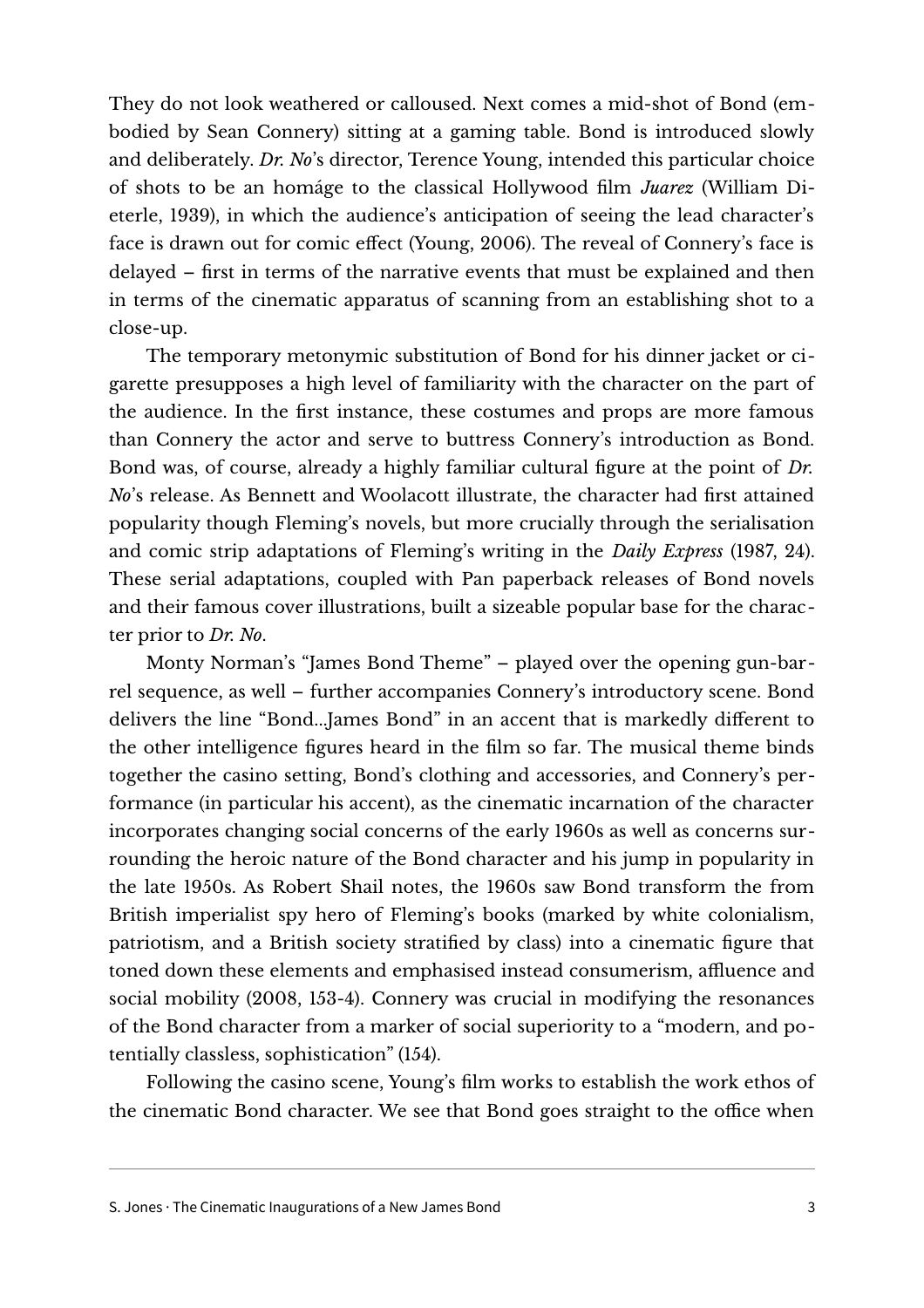They do not look weathered or calloused. Next comes a mid-shot of Bond (embodied by Sean Connery) sitting at a gaming table. Bond is introduced slowly and deliberately. *Dr. No*'s director, Terence Young, intended this particular choice of shots to be an homáge to the classical Hollywood film *Juarez* (William Dieterle, 1939), in which the audience's anticipation of seeing the lead character's face is drawn out for comic effect (Young, 2006). The reveal of Connery's face is delayed – first in terms of the narrative events that must be explained and then in terms of the cinematic apparatus of scanning from an establishing shot to a close-up.

The temporary metonymic substitution of Bond for his dinner jacket or cigarette presupposes a high level of familiarity with the character on the part of the audience. In the first instance, these costumes and props are more famous than Connery the actor and serve to buttress Connery's introduction as Bond. Bond was, of course, already a highly familiar cultural figure at the point of *Dr. No*'s release. As Bennett and Woolacott illustrate, the character had first attained popularity though Fleming's novels, but more crucially through the serialisation and comic strip adaptations of Fleming's writing in the *Daily Express* (1987, 24). These serial adaptations, coupled with Pan paperback releases of Bond novels and their famous cover illustrations, built a sizeable popular base for the character prior to *Dr. No*.

Monty Norman's "James Bond Theme" – played over the opening gun-barrel sequence, as well – further accompanies Connery's introductory scene. Bond delivers the line "Bond...James Bond" in an accent that is markedly different to the other intelligence figures heard in the film so far. The musical theme binds together the casino setting, Bond's clothing and accessories, and Connery's performance (in particular his accent), as the cinematic incarnation of the character incorporates changing social concerns of the early 1960s as well as concerns surrounding the heroic nature of the Bond character and his jump in popularity in the late 1950s. As Robert Shail notes, the 1960s saw Bond transform the from British imperialist spy hero of Fleming's books (marked by white colonialism, patriotism, and a British society stratified by class) into a cinematic figure that toned down these elements and emphasised instead consumerism, affluence and social mobility (2008, 153-4). Connery was crucial in modifying the resonances of the Bond character from a marker of social superiority to a "modern, and potentially classless, sophistication" (154).

Following the casino scene, Young's film works to establish the work ethos of the cinematic Bond character. We see that Bond goes straight to the office when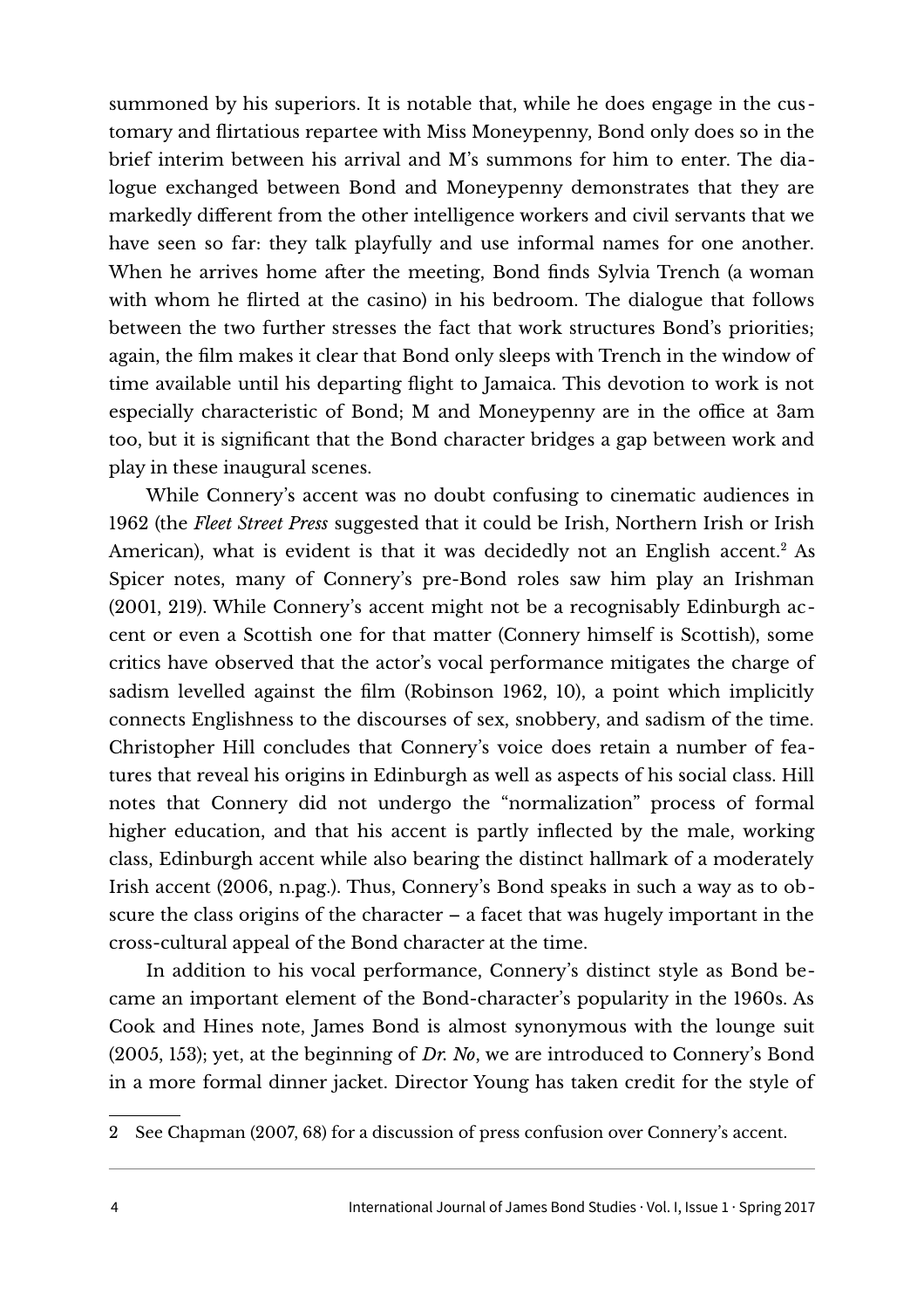summoned by his superiors. It is notable that, while he does engage in the customary and flirtatious repartee with Miss Moneypenny, Bond only does so in the brief interim between his arrival and M's summons for him to enter. The dialogue exchanged between Bond and Moneypenny demonstrates that they are markedly different from the other intelligence workers and civil servants that we have seen so far: they talk playfully and use informal names for one another. When he arrives home after the meeting, Bond finds Sylvia Trench (a woman with whom he flirted at the casino) in his bedroom. The dialogue that follows between the two further stresses the fact that work structures Bond's priorities; again, the film makes it clear that Bond only sleeps with Trench in the window of time available until his departing flight to Jamaica. This devotion to work is not especially characteristic of Bond; M and Moneypenny are in the office at 3am too, but it is significant that the Bond character bridges a gap between work and play in these inaugural scenes.

While Connery's accent was no doubt confusing to cinematic audiences in 1962 (the *Fleet Street Press* suggested that it could be Irish, Northern Irish or Irish American), what is evident is that it was decidedly not an English accent. $^2$  $^2$  As Spicer notes, many of Connery's pre-Bond roles saw him play an Irishman (2001, 219). While Connery's accent might not be a recognisably Edinburgh accent or even a Scottish one for that matter (Connery himself is Scottish), some critics have observed that the actor's vocal performance mitigates the charge of sadism levelled against the film (Robinson 1962, 10), a point which implicitly connects Englishness to the discourses of sex, snobbery, and sadism of the time. Christopher Hill concludes that Connery's voice does retain a number of features that reveal his origins in Edinburgh as well as aspects of his social class. Hill notes that Connery did not undergo the "normalization" process of formal higher education, and that his accent is partly inflected by the male, working class, Edinburgh accent while also bearing the distinct hallmark of a moderately Irish accent (2006, n.pag.). Thus, Connery's Bond speaks in such a way as to obscure the class origins of the character – a facet that was hugely important in the cross-cultural appeal of the Bond character at the time.

In addition to his vocal performance, Connery's distinct style as Bond became an important element of the Bond-character's popularity in the 1960s. As Cook and Hines note, James Bond is almost synonymous with the lounge suit (2005, 153); yet, at the beginning of *Dr. No*, we are introduced to Connery's Bond in a more formal dinner jacket. Director Young has taken credit for the style of

<span id="page-3-0"></span>2 See Chapman (2007, 68) for a discussion of press confusion over Connery's accent.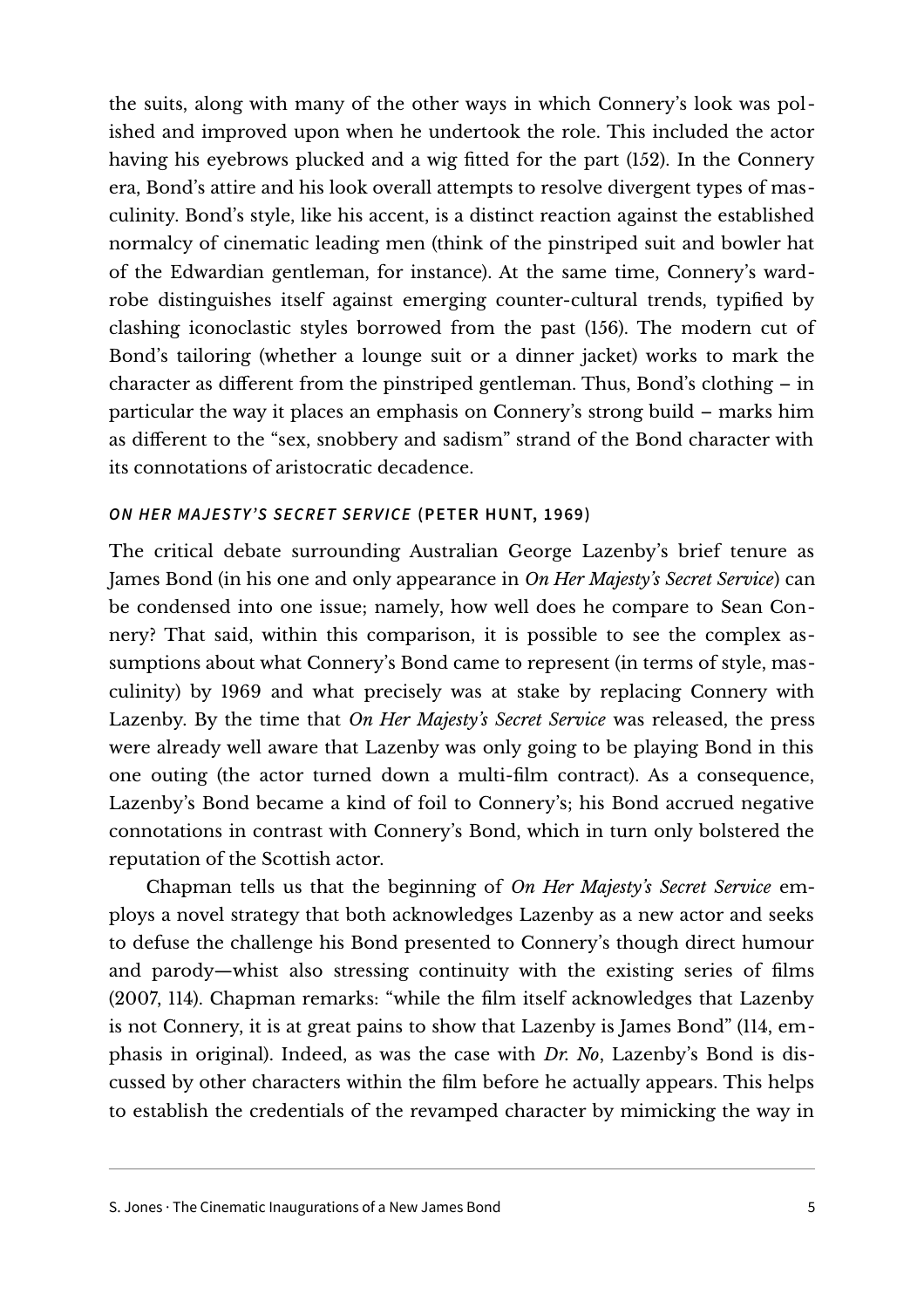the suits, along with many of the other ways in which Connery's look was polished and improved upon when he undertook the role. This included the actor having his eyebrows plucked and a wig fitted for the part (152). In the Connery era, Bond's attire and his look overall attempts to resolve divergent types of masculinity. Bond's style, like his accent, is a distinct reaction against the established normalcy of cinematic leading men (think of the pinstriped suit and bowler hat of the Edwardian gentleman, for instance). At the same time, Connery's wardrobe distinguishes itself against emerging counter-cultural trends, typified by clashing iconoclastic styles borrowed from the past (156). The modern cut of Bond's tailoring (whether a lounge suit or a dinner jacket) works to mark the character as different from the pinstriped gentleman. Thus, Bond's clothing – in particular the way it places an emphasis on Connery's strong build – marks him as different to the "sex, snobbery and sadism" strand of the Bond character with its connotations of aristocratic decadence.

#### **ON HER MAJESTY'S SECRET SERVICE (PETER HUNT, 1969)**

The critical debate surrounding Australian George Lazenby's brief tenure as James Bond (in his one and only appearance in *On Her Majesty's Secret Service*) can be condensed into one issue; namely, how well does he compare to Sean Connery? That said, within this comparison, it is possible to see the complex assumptions about what Connery's Bond came to represent (in terms of style, masculinity) by 1969 and what precisely was at stake by replacing Connery with Lazenby. By the time that *On Her Majesty's Secret Service* was released, the press were already well aware that Lazenby was only going to be playing Bond in this one outing (the actor turned down a multi-film contract). As a consequence, Lazenby's Bond became a kind of foil to Connery's; his Bond accrued negative connotations in contrast with Connery's Bond, which in turn only bolstered the reputation of the Scottish actor.

Chapman tells us that the beginning of *On Her Majesty's Secret Service* employs a novel strategy that both acknowledges Lazenby as a new actor and seeks to defuse the challenge his Bond presented to Connery's though direct humour and parody—whist also stressing continuity with the existing series of films (2007, 114). Chapman remarks: "while the film itself acknowledges that Lazenby is not Connery, it is at great pains to show that Lazenby is James Bond" (114, emphasis in original). Indeed, as was the case with *Dr. No*, Lazenby's Bond is discussed by other characters within the film before he actually appears. This helps to establish the credentials of the revamped character by mimicking the way in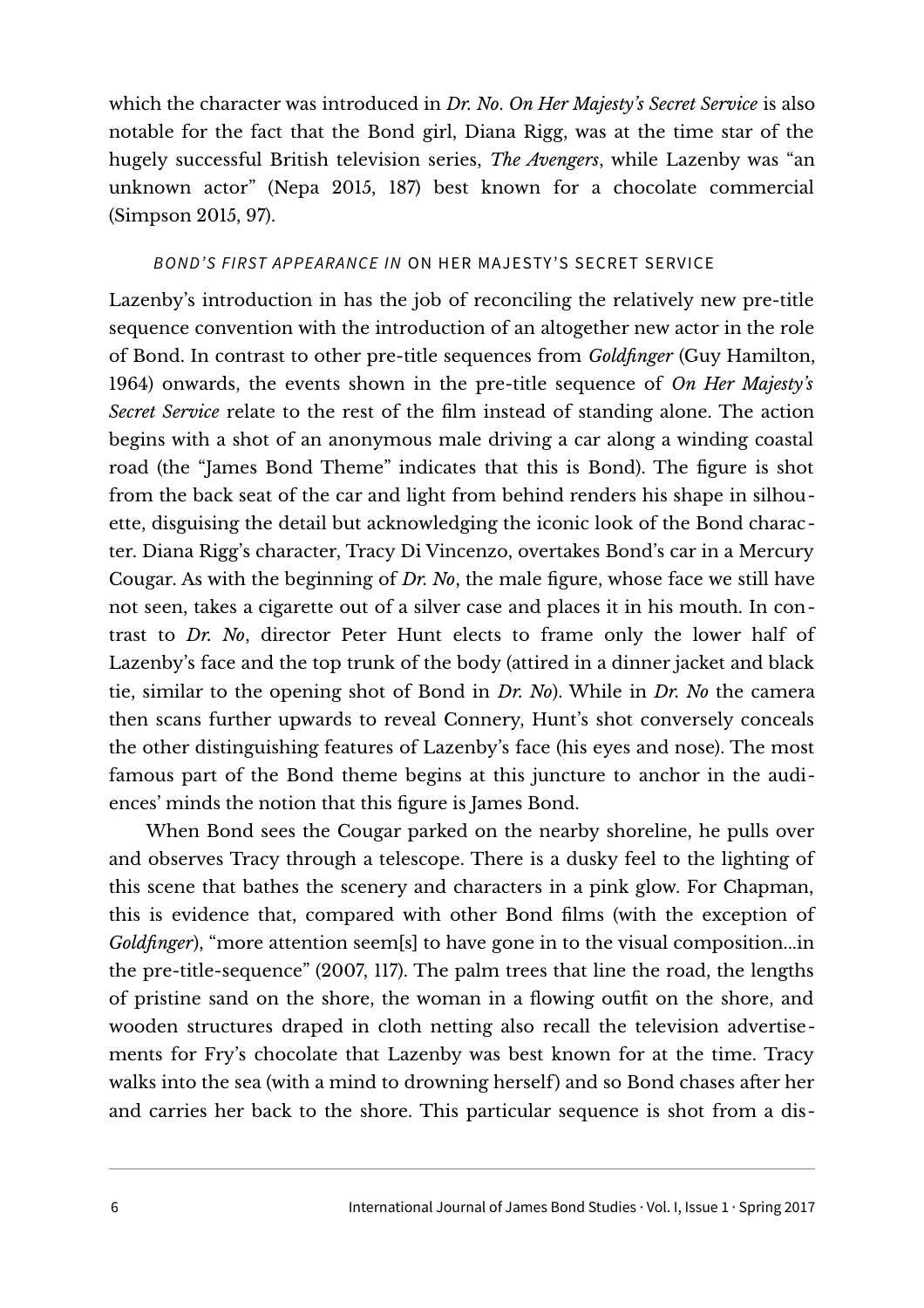which the character was introduced in *Dr. No*. *On Her Majesty's Secret Service* is also notable for the fact that the Bond girl, Diana Rigg, was at the time star of the hugely successful British television series, *The Avengers*, while Lazenby was "an unknown actor" (Nepa 2015, 187) best known for a chocolate commercial (Simpson 2015, 97).

#### BOND'S FIRST APPEARANCE IN ON HER MAJESTY 'S SECRET SERVICE

Lazenby's introduction in has the job of reconciling the relatively new pre-title sequence convention with the introduction of an altogether new actor in the role of Bond. In contrast to other pre-title sequences from *Goldfinger* (Guy Hamilton, 1964) onwards, the events shown in the pre-title sequence of *On Her Majesty's Secret Service* relate to the rest of the film instead of standing alone. The action begins with a shot of an anonymous male driving a car along a winding coastal road (the "James Bond Theme" indicates that this is Bond). The figure is shot from the back seat of the car and light from behind renders his shape in silhouette, disguising the detail but acknowledging the iconic look of the Bond character. Diana Rigg's character, Tracy Di Vincenzo, overtakes Bond's car in a Mercury Cougar. As with the beginning of *Dr. No*, the male figure, whose face we still have not seen, takes a cigarette out of a silver case and places it in his mouth. In contrast to *Dr. No*, director Peter Hunt elects to frame only the lower half of Lazenby's face and the top trunk of the body (attired in a dinner jacket and black tie, similar to the opening shot of Bond in *Dr. No*). While in *Dr. No* the camera then scans further upwards to reveal Connery, Hunt's shot conversely conceals the other distinguishing features of Lazenby's face (his eyes and nose). The most famous part of the Bond theme begins at this juncture to anchor in the audiences' minds the notion that this figure is James Bond.

When Bond sees the Cougar parked on the nearby shoreline, he pulls over and observes Tracy through a telescope. There is a dusky feel to the lighting of this scene that bathes the scenery and characters in a pink glow. For Chapman, this is evidence that, compared with other Bond films (with the exception of *Goldfinger*), "more attention seem[s] to have gone in to the visual composition...in the pre-title-sequence" (2007, 117). The palm trees that line the road, the lengths of pristine sand on the shore, the woman in a flowing outfit on the shore, and wooden structures draped in cloth netting also recall the television advertisements for Fry's chocolate that Lazenby was best known for at the time. Tracy walks into the sea (with a mind to drowning herself) and so Bond chases after her and carries her back to the shore. This particular sequence is shot from a dis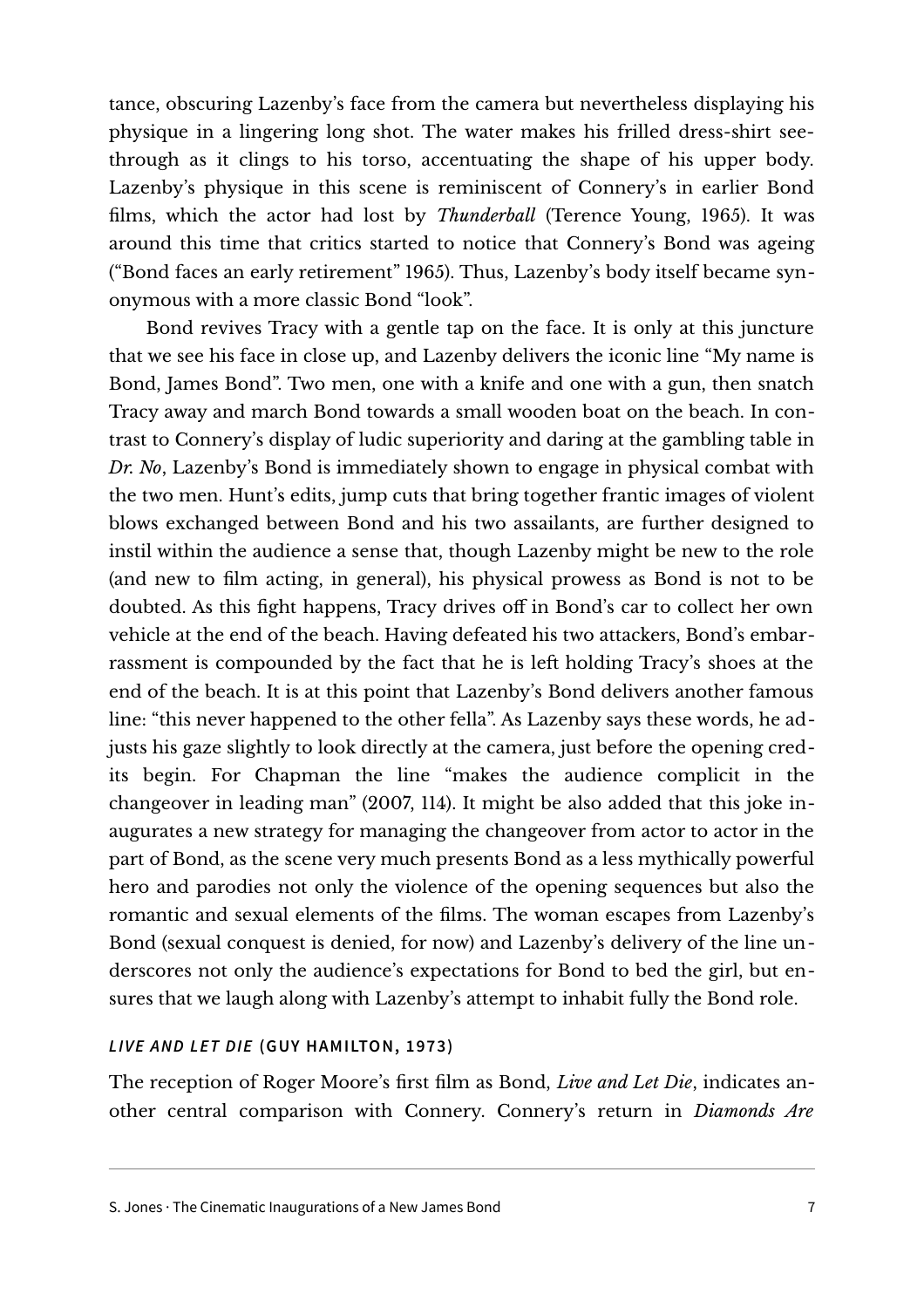tance, obscuring Lazenby's face from the camera but nevertheless displaying his physique in a lingering long shot. The water makes his frilled dress-shirt seethrough as it clings to his torso, accentuating the shape of his upper body. Lazenby's physique in this scene is reminiscent of Connery's in earlier Bond films, which the actor had lost by *Thunderball* (Terence Young, 1965). It was around this time that critics started to notice that Connery's Bond was ageing ("Bond faces an early retirement" 1965). Thus, Lazenby's body itself became synonymous with a more classic Bond "look".

Bond revives Tracy with a gentle tap on the face. It is only at this juncture that we see his face in close up, and Lazenby delivers the iconic line "My name is Bond, James Bond". Two men, one with a knife and one with a gun, then snatch Tracy away and march Bond towards a small wooden boat on the beach. In contrast to Connery's display of ludic superiority and daring at the gambling table in *Dr. No*, Lazenby's Bond is immediately shown to engage in physical combat with the two men. Hunt's edits, jump cuts that bring together frantic images of violent blows exchanged between Bond and his two assailants, are further designed to instil within the audience a sense that, though Lazenby might be new to the role (and new to film acting, in general), his physical prowess as Bond is not to be doubted. As this fight happens, Tracy drives off in Bond's car to collect her own vehicle at the end of the beach. Having defeated his two attackers, Bond's embarrassment is compounded by the fact that he is left holding Tracy's shoes at the end of the beach. It is at this point that Lazenby's Bond delivers another famous line: "this never happened to the other fella". As Lazenby says these words, he adjusts his gaze slightly to look directly at the camera, just before the opening credits begin. For Chapman the line "makes the audience complicit in the changeover in leading man" (2007, 114). It might be also added that this joke inaugurates a new strategy for managing the changeover from actor to actor in the part of Bond, as the scene very much presents Bond as a less mythically powerful hero and parodies not only the violence of the opening sequences but also the romantic and sexual elements of the films. The woman escapes from Lazenby's Bond (sexual conquest is denied, for now) and Lazenby's delivery of the line underscores not only the audience's expectations for Bond to bed the girl, but ensures that we laugh along with Lazenby's attempt to inhabit fully the Bond role.

#### **LIVE AND LET DIE (GUY HAMILTON, 1973)**

The reception of Roger Moore's first film as Bond, *Live and Let Die*, indicates another central comparison with Connery. Connery's return in *Diamonds Are*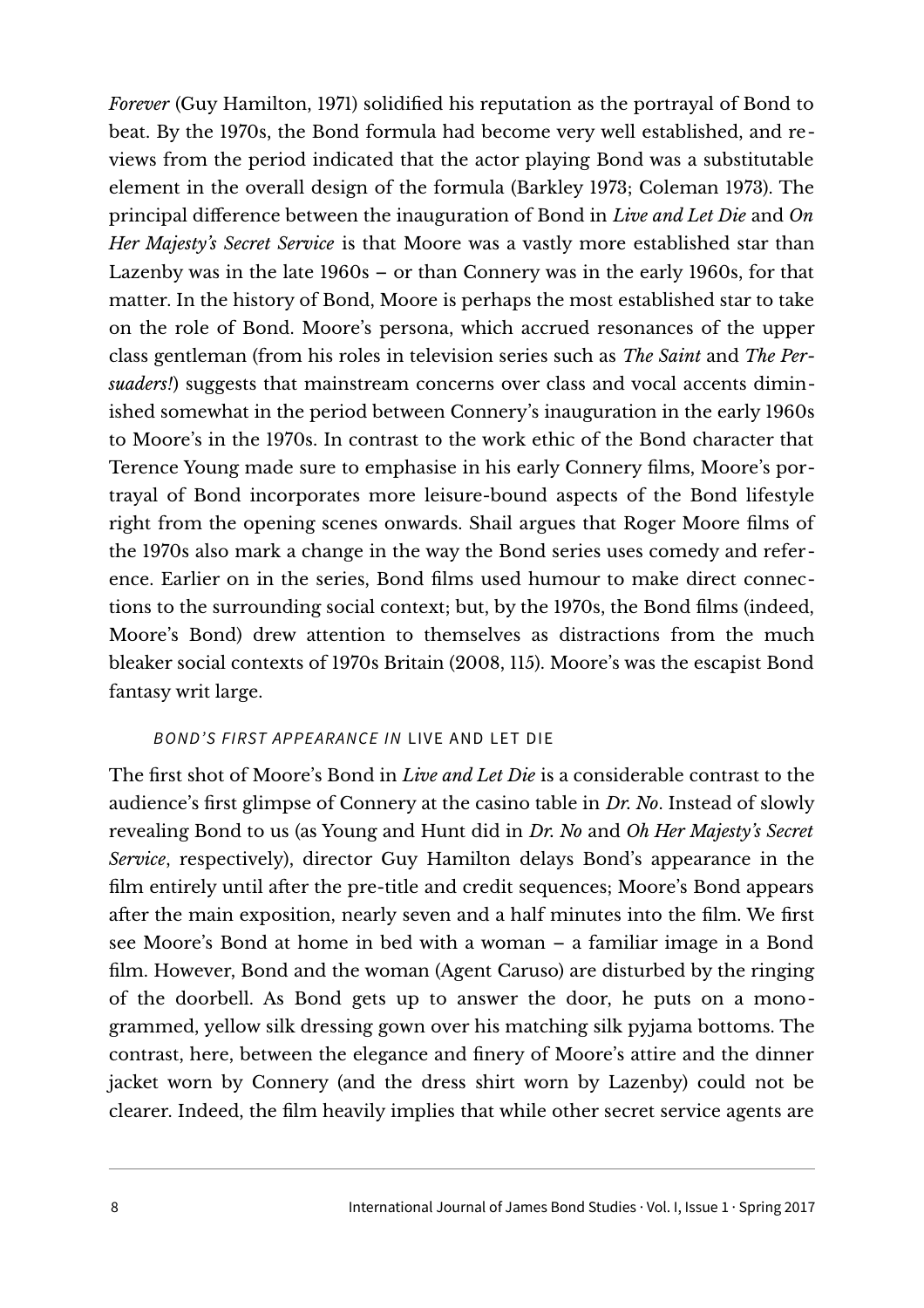*Forever* (Guy Hamilton, 1971) solidified his reputation as the portrayal of Bond to beat. By the 1970s, the Bond formula had become very well established, and reviews from the period indicated that the actor playing Bond was a substitutable element in the overall design of the formula (Barkley 1973; Coleman 1973). The principal difference between the inauguration of Bond in *Live and Let Die* and *On Her Majesty's Secret Service* is that Moore was a vastly more established star than Lazenby was in the late 1960s – or than Connery was in the early 1960s, for that matter. In the history of Bond, Moore is perhaps the most established star to take on the role of Bond. Moore's persona, which accrued resonances of the upper class gentleman (from his roles in television series such as *The Saint* and *The Persuaders!*) suggests that mainstream concerns over class and vocal accents diminished somewhat in the period between Connery's inauguration in the early 1960s to Moore's in the 1970s. In contrast to the work ethic of the Bond character that Terence Young made sure to emphasise in his early Connery films, Moore's portrayal of Bond incorporates more leisure-bound aspects of the Bond lifestyle right from the opening scenes onwards. Shail argues that Roger Moore films of the 1970s also mark a change in the way the Bond series uses comedy and reference. Earlier on in the series, Bond films used humour to make direct connections to the surrounding social context; but, by the 1970s, the Bond films (indeed, Moore's Bond) drew attention to themselves as distractions from the much bleaker social contexts of 1970s Britain (2008, 115). Moore's was the escapist Bond fantasy writ large.

#### BOND'S FIRST APPEARANCE IN LIVE AND LET DIE

The first shot of Moore's Bond in *Live and Let Die* is a considerable contrast to the audience's first glimpse of Connery at the casino table in *Dr. No*. Instead of slowly revealing Bond to us (as Young and Hunt did in *Dr. No* and *Oh Her Majesty's Secret Service*, respectively), director Guy Hamilton delays Bond's appearance in the film entirely until after the pre-title and credit sequences; Moore's Bond appears after the main exposition, nearly seven and a half minutes into the film. We first see Moore's Bond at home in bed with a woman – a familiar image in a Bond film. However, Bond and the woman (Agent Caruso) are disturbed by the ringing of the doorbell. As Bond gets up to answer the door, he puts on a monogrammed, yellow silk dressing gown over his matching silk pyjama bottoms. The contrast, here, between the elegance and finery of Moore's attire and the dinner jacket worn by Connery (and the dress shirt worn by Lazenby) could not be clearer. Indeed, the film heavily implies that while other secret service agents are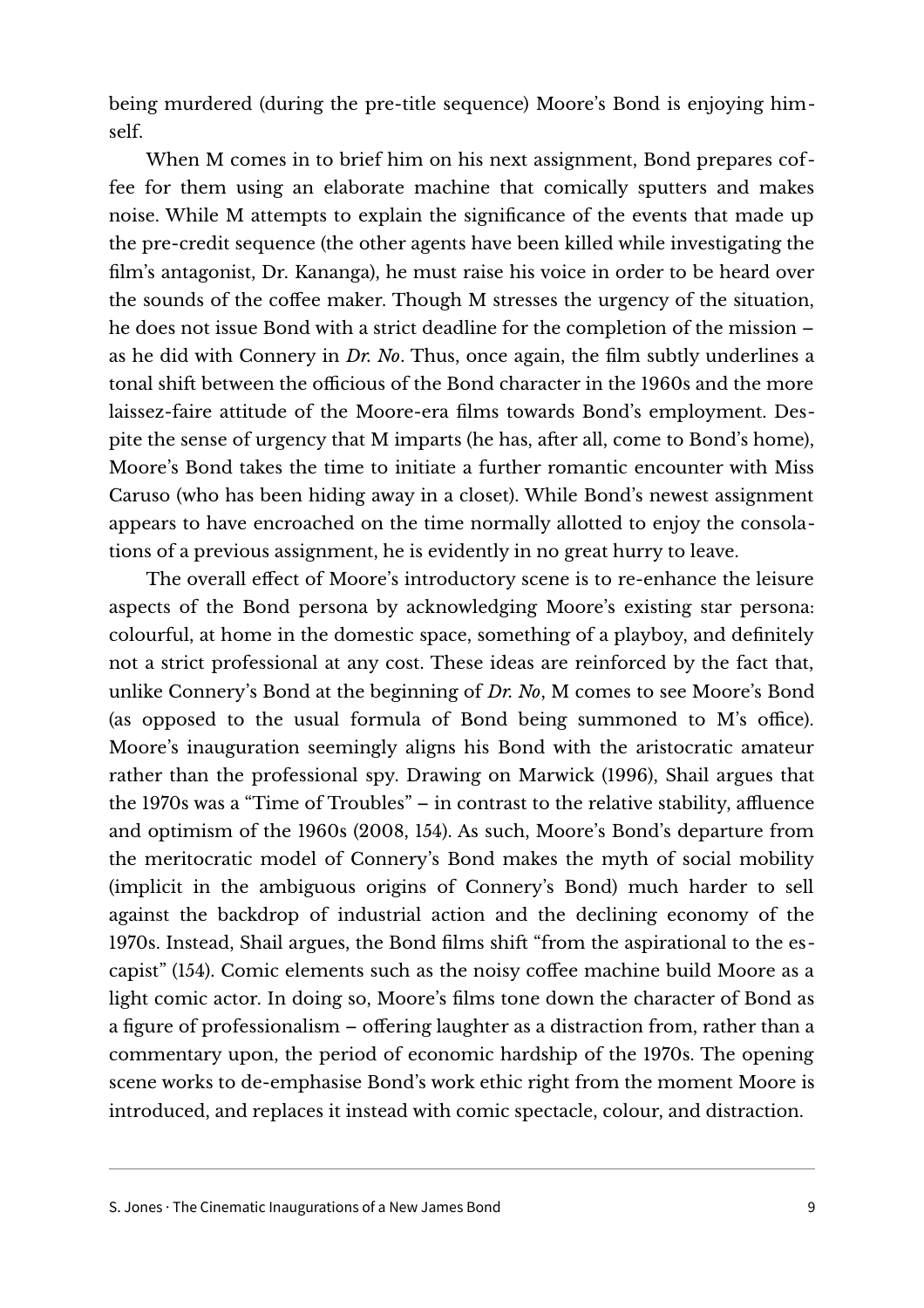being murdered (during the pre-title sequence) Moore's Bond is enjoying himself.

When M comes in to brief him on his next assignment, Bond prepares coffee for them using an elaborate machine that comically sputters and makes noise. While M attempts to explain the significance of the events that made up the pre-credit sequence (the other agents have been killed while investigating the film's antagonist, Dr. Kananga), he must raise his voice in order to be heard over the sounds of the coffee maker. Though M stresses the urgency of the situation, he does not issue Bond with a strict deadline for the completion of the mission – as he did with Connery in *Dr. No*. Thus, once again, the film subtly underlines a tonal shift between the officious of the Bond character in the 1960s and the more laissez-faire attitude of the Moore-era films towards Bond's employment. Despite the sense of urgency that M imparts (he has, after all, come to Bond's home), Moore's Bond takes the time to initiate a further romantic encounter with Miss Caruso (who has been hiding away in a closet). While Bond's newest assignment appears to have encroached on the time normally allotted to enjoy the consolations of a previous assignment, he is evidently in no great hurry to leave.

The overall effect of Moore's introductory scene is to re-enhance the leisure aspects of the Bond persona by acknowledging Moore's existing star persona: colourful, at home in the domestic space, something of a playboy, and definitely not a strict professional at any cost. These ideas are reinforced by the fact that, unlike Connery's Bond at the beginning of *Dr. No*, M comes to see Moore's Bond (as opposed to the usual formula of Bond being summoned to M's office). Moore's inauguration seemingly aligns his Bond with the aristocratic amateur rather than the professional spy. Drawing on Marwick (1996), Shail argues that the 1970s was a "Time of Troubles" – in contrast to the relative stability, affluence and optimism of the 1960s (2008, 154). As such, Moore's Bond's departure from the meritocratic model of Connery's Bond makes the myth of social mobility (implicit in the ambiguous origins of Connery's Bond) much harder to sell against the backdrop of industrial action and the declining economy of the 1970s. Instead, Shail argues, the Bond films shift "from the aspirational to the escapist" (154). Comic elements such as the noisy coffee machine build Moore as a light comic actor. In doing so, Moore's films tone down the character of Bond as a figure of professionalism – offering laughter as a distraction from, rather than a commentary upon, the period of economic hardship of the 1970s. The opening scene works to de-emphasise Bond's work ethic right from the moment Moore is introduced, and replaces it instead with comic spectacle, colour, and distraction.

S. Jones · The Cinematic Inaugurations of a New James Bond 9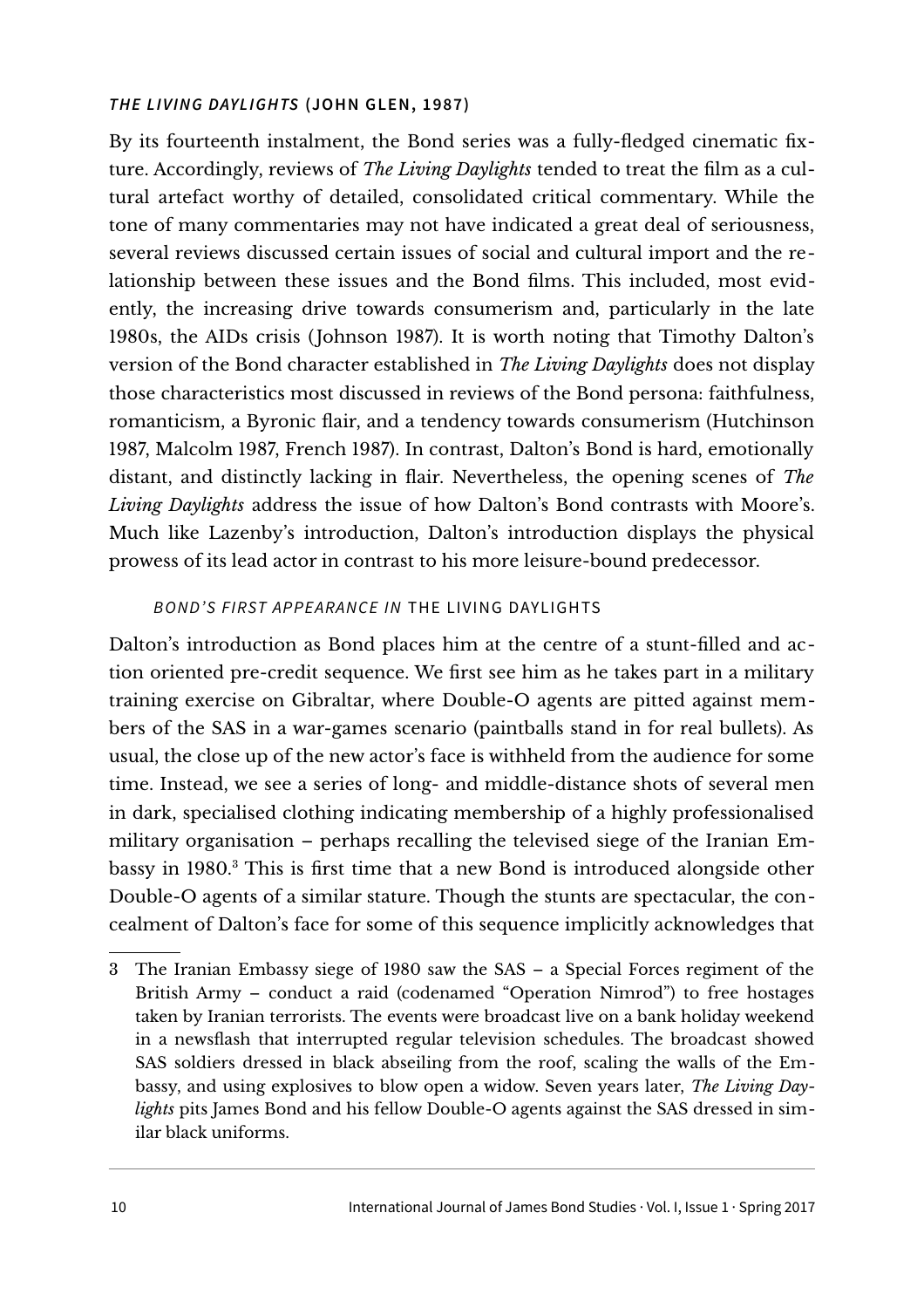#### **THE LIVING DAYLIGHTS (JOHN GLEN, 1987)**

By its fourteenth instalment, the Bond series was a fully-fledged cinematic fixture. Accordingly, reviews of *The Living Daylights* tended to treat the film as a cultural artefact worthy of detailed, consolidated critical commentary. While the tone of many commentaries may not have indicated a great deal of seriousness, several reviews discussed certain issues of social and cultural import and the relationship between these issues and the Bond films. This included, most evidently, the increasing drive towards consumerism and, particularly in the late 1980s, the AIDs crisis (Johnson 1987). It is worth noting that Timothy Dalton's version of the Bond character established in *The Living Daylights* does not display those characteristics most discussed in reviews of the Bond persona: faithfulness, romanticism, a Byronic flair, and a tendency towards consumerism (Hutchinson 1987, Malcolm 1987, French 1987). In contrast, Dalton's Bond is hard, emotionally distant, and distinctly lacking in flair. Nevertheless, the opening scenes of *The Living Daylights* address the issue of how Dalton's Bond contrasts with Moore's. Much like Lazenby's introduction, Dalton's introduction displays the physical prowess of its lead actor in contrast to his more leisure-bound predecessor.

#### BOND'S FIRST APPEARANCE IN THE LIVING DAYLIGHTS

Dalton's introduction as Bond places him at the centre of a stunt-filled and action oriented pre-credit sequence. We first see him as he takes part in a military training exercise on Gibraltar, where Double-O agents are pitted against members of the SAS in a war-games scenario (paintballs stand in for real bullets). As usual, the close up of the new actor's face is withheld from the audience for some time. Instead, we see a series of long- and middle-distance shots of several men in dark, specialised clothing indicating membership of a highly professionalised military organisation – perhaps recalling the televised siege of the Iranian Em-bassy in 1980.<sup>[3](#page-9-0)</sup> This is first time that a new Bond is introduced alongside other Double-O agents of a similar stature. Though the stunts are spectacular, the concealment of Dalton's face for some of this sequence implicitly acknowledges that

<span id="page-9-0"></span><sup>3</sup> The Iranian Embassy siege of 1980 saw the SAS – a Special Forces regiment of the British Army – conduct a raid (codenamed "Operation Nimrod") to free hostages taken by Iranian terrorists. The events were broadcast live on a bank holiday weekend in a newsflash that interrupted regular television schedules. The broadcast showed SAS soldiers dressed in black abseiling from the roof, scaling the walls of the Embassy, and using explosives to blow open a widow. Seven years later, *The Living Daylights* pits James Bond and his fellow Double-O agents against the SAS dressed in similar black uniforms.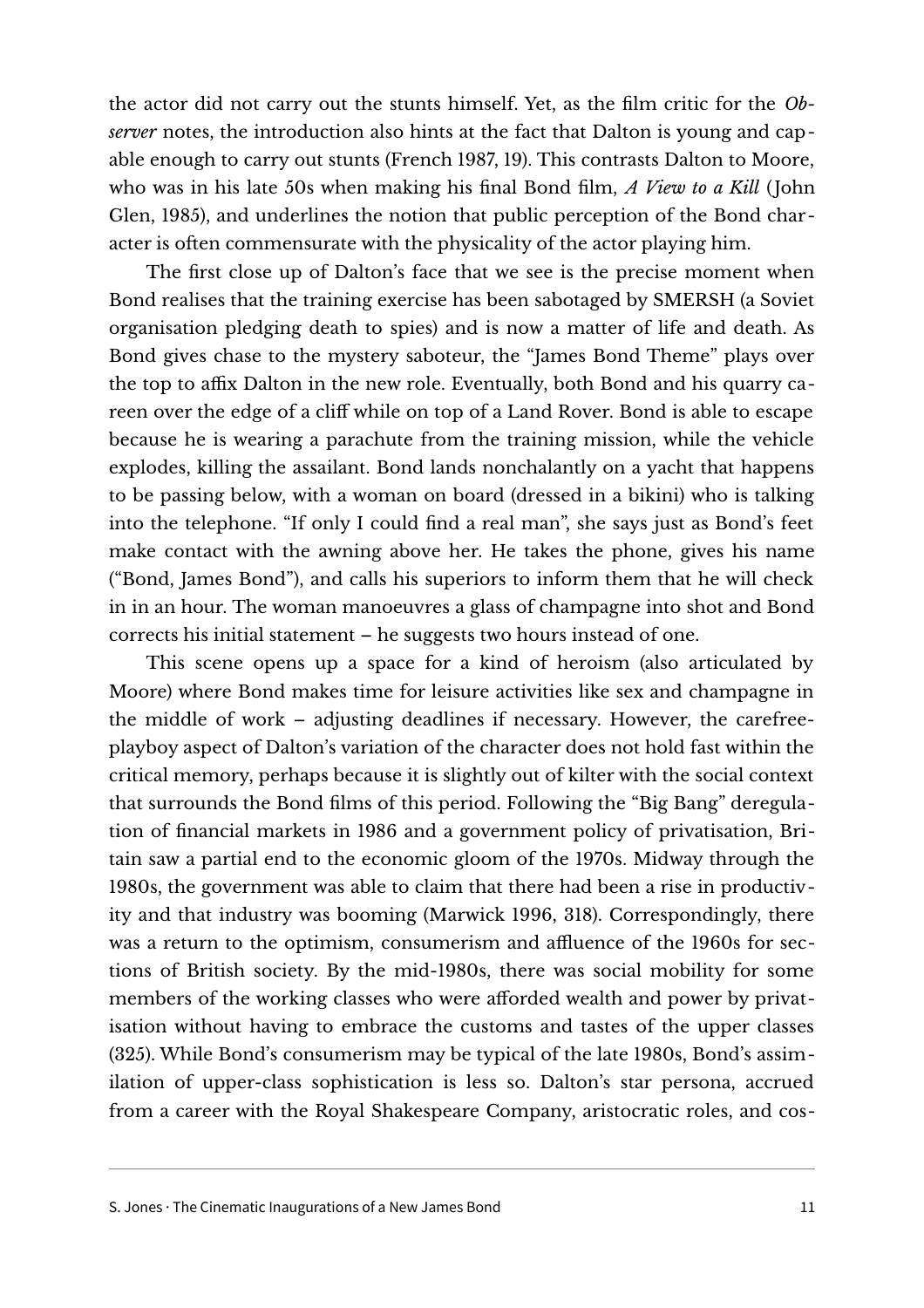the actor did not carry out the stunts himself. Yet, as the film critic for the *Observer* notes, the introduction also hints at the fact that Dalton is young and capable enough to carry out stunts (French 1987, 19). This contrasts Dalton to Moore, who was in his late 50s when making his final Bond film, *A View to a Kill* (John Glen, 1985), and underlines the notion that public perception of the Bond character is often commensurate with the physicality of the actor playing him.

The first close up of Dalton's face that we see is the precise moment when Bond realises that the training exercise has been sabotaged by SMERSH (a Soviet organisation pledging death to spies) and is now a matter of life and death. As Bond gives chase to the mystery saboteur, the "James Bond Theme" plays over the top to affix Dalton in the new role. Eventually, both Bond and his quarry careen over the edge of a cliff while on top of a Land Rover. Bond is able to escape because he is wearing a parachute from the training mission, while the vehicle explodes, killing the assailant. Bond lands nonchalantly on a yacht that happens to be passing below, with a woman on board (dressed in a bikini) who is talking into the telephone. "If only I could find a real man", she says just as Bond's feet make contact with the awning above her. He takes the phone, gives his name ("Bond, James Bond"), and calls his superiors to inform them that he will check in in an hour. The woman manoeuvres a glass of champagne into shot and Bond corrects his initial statement – he suggests two hours instead of one.

This scene opens up a space for a kind of heroism (also articulated by Moore) where Bond makes time for leisure activities like sex and champagne in the middle of work – adjusting deadlines if necessary. However, the carefreeplayboy aspect of Dalton's variation of the character does not hold fast within the critical memory, perhaps because it is slightly out of kilter with the social context that surrounds the Bond films of this period. Following the "Big Bang" deregulation of financial markets in 1986 and a government policy of privatisation, Britain saw a partial end to the economic gloom of the 1970s. Midway through the 1980s, the government was able to claim that there had been a rise in productivity and that industry was booming (Marwick 1996, 318). Correspondingly, there was a return to the optimism, consumerism and affluence of the 1960s for sections of British society. By the mid-1980s, there was social mobility for some members of the working classes who were afforded wealth and power by privatisation without having to embrace the customs and tastes of the upper classes (325). While Bond's consumerism may be typical of the late 1980s, Bond's assimilation of upper-class sophistication is less so. Dalton's star persona, accrued from a career with the Royal Shakespeare Company, aristocratic roles, and cos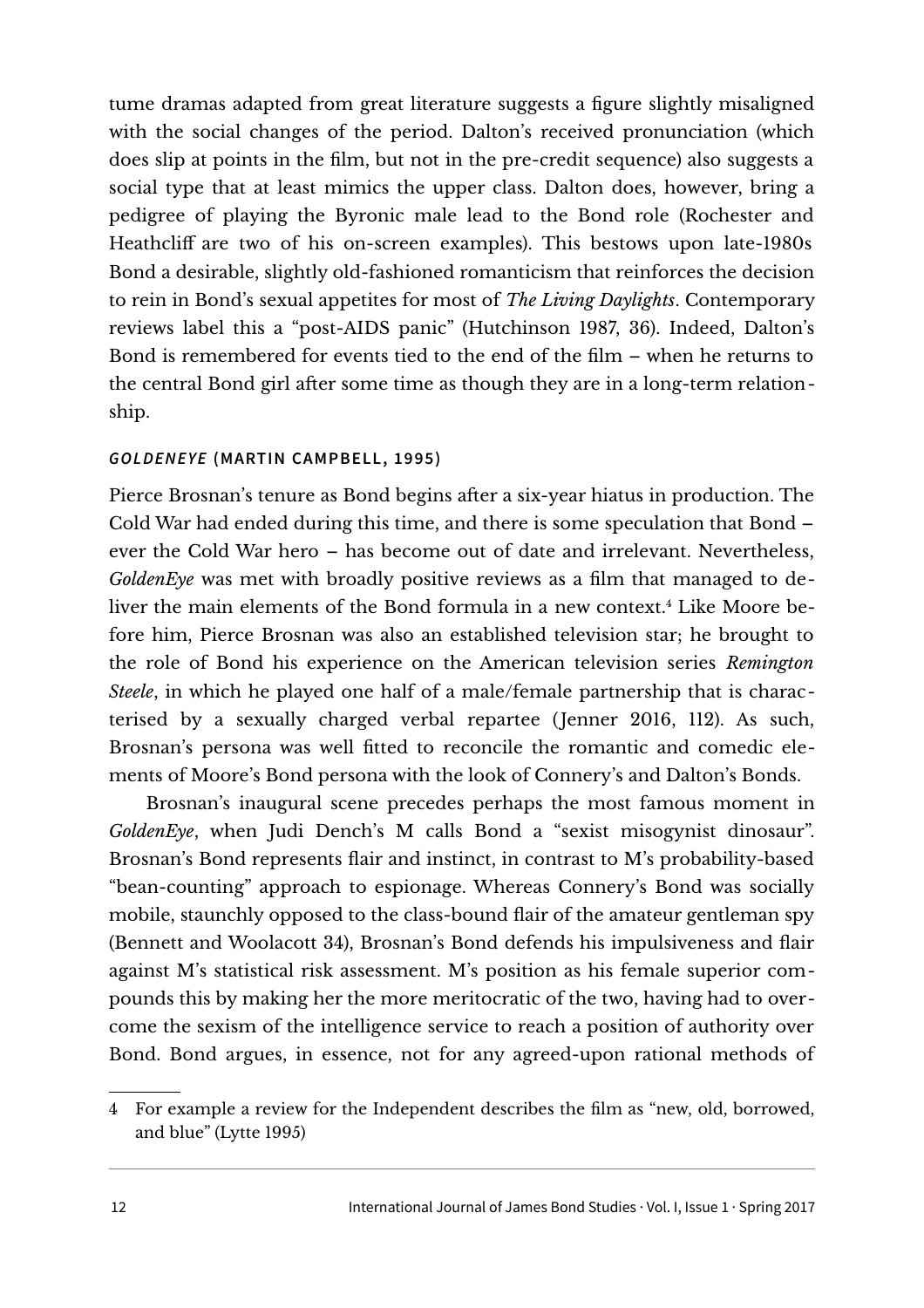tume dramas adapted from great literature suggests a figure slightly misaligned with the social changes of the period. Dalton's received pronunciation (which does slip at points in the film, but not in the pre-credit sequence) also suggests a social type that at least mimics the upper class. Dalton does, however, bring a pedigree of playing the Byronic male lead to the Bond role (Rochester and Heathcliff are two of his on-screen examples). This bestows upon late-1980s Bond a desirable, slightly old-fashioned romanticism that reinforces the decision to rein in Bond's sexual appetites for most of *The Living Daylights*. Contemporary reviews label this a "post-AIDS panic" (Hutchinson 1987, 36). Indeed, Dalton's Bond is remembered for events tied to the end of the film – when he returns to the central Bond girl after some time as though they are in a long-term relationship.

## **GOLDENEYE (MARTIN CAMPBELL, 1995)**

Pierce Brosnan's tenure as Bond begins after a six-year hiatus in production. The Cold War had ended during this time, and there is some speculation that Bond – ever the Cold War hero – has become out of date and irrelevant. Nevertheless, *GoldenEye* was met with broadly positive reviews as a film that managed to deliver the main elements of the Bond formula in a new context.[4](#page-11-0) Like Moore before him, Pierce Brosnan was also an established television star; he brought to the role of Bond his experience on the American television series *Remington Steele*, in which he played one half of a male/female partnership that is characterised by a sexually charged verbal repartee (Jenner 2016, 112). As such, Brosnan's persona was well fitted to reconcile the romantic and comedic elements of Moore's Bond persona with the look of Connery's and Dalton's Bonds.

Brosnan's inaugural scene precedes perhaps the most famous moment in *GoldenEye*, when Judi Dench's M calls Bond a "sexist misogynist dinosaur". Brosnan's Bond represents flair and instinct, in contrast to M's probability-based "bean-counting" approach to espionage. Whereas Connery's Bond was socially mobile, staunchly opposed to the class-bound flair of the amateur gentleman spy (Bennett and Woolacott 34), Brosnan's Bond defends his impulsiveness and flair against M's statistical risk assessment. M's position as his female superior compounds this by making her the more meritocratic of the two, having had to overcome the sexism of the intelligence service to reach a position of authority over Bond. Bond argues, in essence, not for any agreed-upon rational methods of

<span id="page-11-0"></span><sup>4</sup> For example a review for the Independent describes the film as "new, old, borrowed, and blue" (Lytte 1995)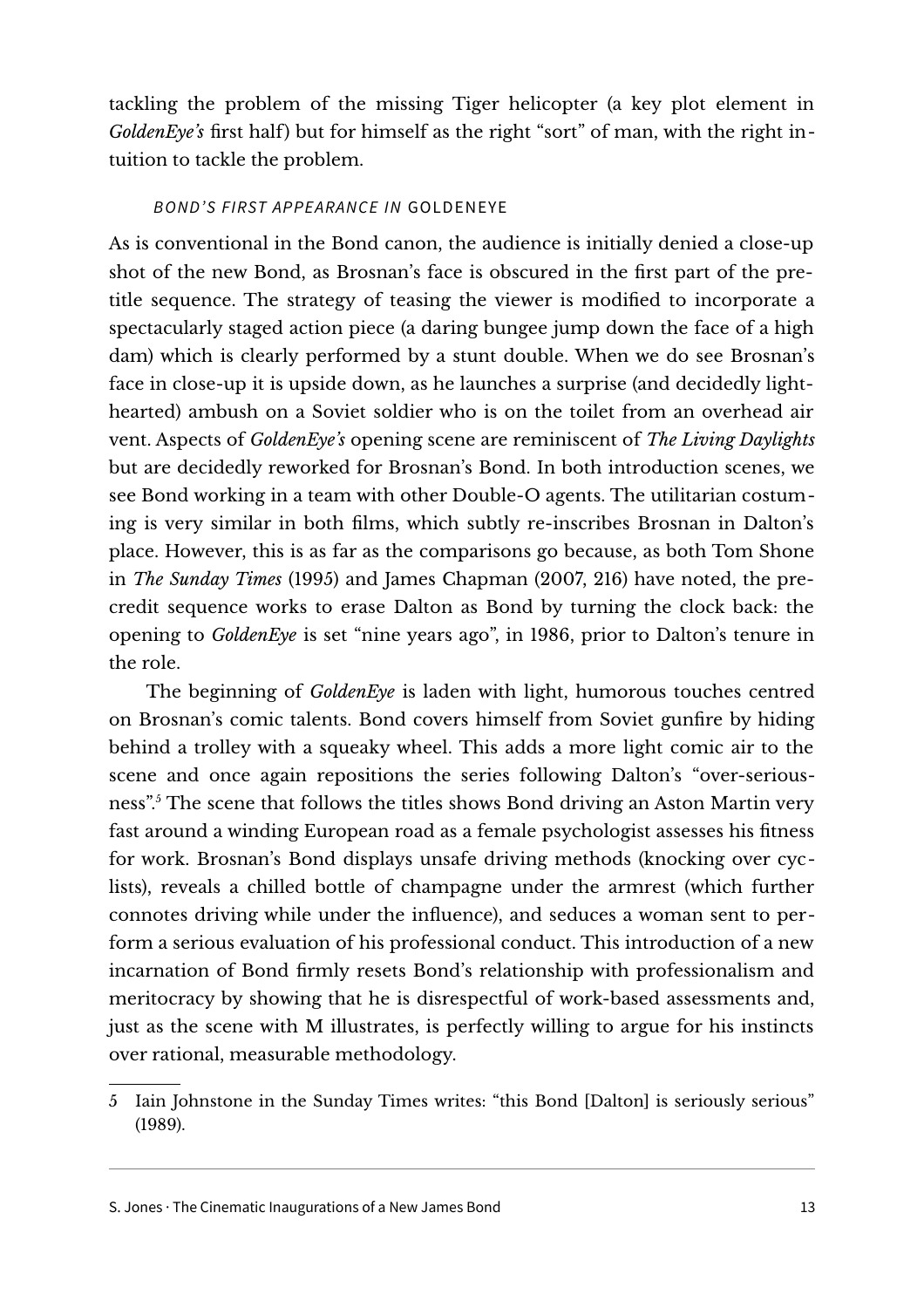tackling the problem of the missing Tiger helicopter (a key plot element in *GoldenEye's* first half) but for himself as the right "sort" of man, with the right intuition to tackle the problem.

### BOND'S FIRST APPEARANCE IN GOLDENEYE

As is conventional in the Bond canon, the audience is initially denied a close-up shot of the new Bond, as Brosnan's face is obscured in the first part of the pretitle sequence. The strategy of teasing the viewer is modified to incorporate a spectacularly staged action piece (a daring bungee jump down the face of a high dam) which is clearly performed by a stunt double. When we do see Brosnan's face in close-up it is upside down, as he launches a surprise (and decidedly lighthearted) ambush on a Soviet soldier who is on the toilet from an overhead air vent. Aspects of *GoldenEye's* opening scene are reminiscent of *The Living Daylights* but are decidedly reworked for Brosnan's Bond. In both introduction scenes, we see Bond working in a team with other Double-O agents. The utilitarian costuming is very similar in both films, which subtly re-inscribes Brosnan in Dalton's place. However, this is as far as the comparisons go because, as both Tom Shone in *The Sunday Times* (1995) and James Chapman (2007, 216) have noted, the precredit sequence works to erase Dalton as Bond by turning the clock back: the opening to *GoldenEye* is set "nine years ago", in 1986, prior to Dalton's tenure in the role.

The beginning of *GoldenEye* is laden with light, humorous touches centred on Brosnan's comic talents. Bond covers himself from Soviet gunfire by hiding behind a trolley with a squeaky wheel. This adds a more light comic air to the scene and once again repositions the series following Dalton's "over-seriousness".[5](#page-12-0) The scene that follows the titles shows Bond driving an Aston Martin very fast around a winding European road as a female psychologist assesses his fitness for work. Brosnan's Bond displays unsafe driving methods (knocking over cyclists), reveals a chilled bottle of champagne under the armrest (which further connotes driving while under the influence), and seduces a woman sent to perform a serious evaluation of his professional conduct. This introduction of a new incarnation of Bond firmly resets Bond's relationship with professionalism and meritocracy by showing that he is disrespectful of work-based assessments and, just as the scene with M illustrates, is perfectly willing to argue for his instincts over rational, measurable methodology.

<span id="page-12-0"></span><sup>5</sup> Iain Johnstone in the Sunday Times writes: "this Bond [Dalton] is seriously serious" (1989).

S. Jones · The Cinematic Inaugurations of a New James Bond 13 and 13 and 13 and 13 and 13 and 13 and 13 and 13 and 13 and 13 and 13 and 13 and 13 and 13 and 13 and 13 and 13 and 13 and 13 and 14 and 15 and 16 and 16 and 16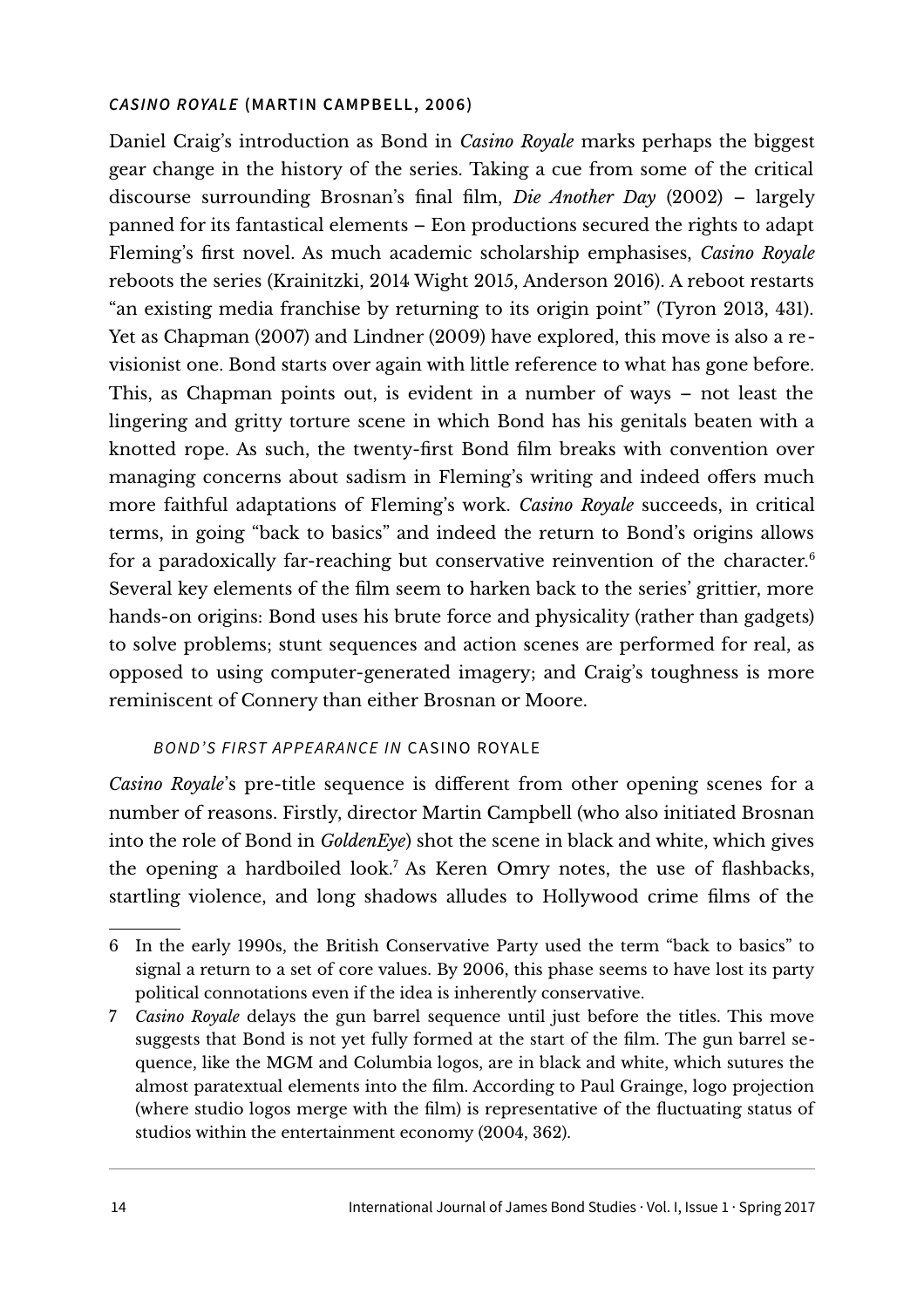#### **CASINO ROYALE (MARTIN CAMPBELL, 2006)**

Daniel Craig's introduction as Bond in *Casino Royale* marks perhaps the biggest gear change in the history of the series. Taking a cue from some of the critical discourse surrounding Brosnan's final film, *Die Another Day* (2002) – largely panned for its fantastical elements – Eon productions secured the rights to adapt Fleming's first novel. As much academic scholarship emphasises, *Casino Royale* reboots the series (Krainitzki, 2014 Wight 2015, Anderson 2016). A reboot restarts "an existing media franchise by returning to its origin point" (Tyron 2013, 431). Yet as Chapman (2007) and Lindner (2009) have explored, this move is also a revisionist one. Bond starts over again with little reference to what has gone before. This, as Chapman points out, is evident in a number of ways – not least the lingering and gritty torture scene in which Bond has his genitals beaten with a knotted rope. As such, the twenty-first Bond film breaks with convention over managing concerns about sadism in Fleming's writing and indeed offers much more faithful adaptations of Fleming's work. *Casino Royale* succeeds, in critical terms, in going "back to basics" and indeed the return to Bond's origins allows for a paradoxically far-reaching but conservative reinvention of the character.<sup>[6](#page-13-0)</sup> Several key elements of the film seem to harken back to the series' grittier, more hands-on origins: Bond uses his brute force and physicality (rather than gadgets) to solve problems; stunt sequences and action scenes are performed for real, as opposed to using computer-generated imagery; and Craig's toughness is more reminiscent of Connery than either Brosnan or Moore.

#### BOND'S FIRST APPEARANCE IN CASINO ROYALE

*Casino Royale*'s pre-title sequence is different from other opening scenes for a number of reasons. Firstly, director Martin Campbell (who also initiated Brosnan into the role of Bond in *GoldenEye*) shot the scene in black and white, which gives the opening a hardboiled look.[7](#page-13-1) As Keren Omry notes, the use of flashbacks, startling violence, and long shadows alludes to Hollywood crime films of the

<span id="page-13-0"></span><sup>6</sup> In the early 1990s, the British Conservative Party used the term "back to basics" to signal a return to a set of core values. By 2006, this phase seems to have lost its party political connotations even if the idea is inherently conservative.

<span id="page-13-1"></span><sup>7</sup> *Casino Royale* delays the gun barrel sequence until just before the titles. This move suggests that Bond is not yet fully formed at the start of the film. The gun barrel sequence, like the MGM and Columbia logos, are in black and white, which sutures the almost paratextual elements into the film. According to Paul Grainge, logo projection (where studio logos merge with the film) is representative of the fluctuating status of studios within the entertainment economy (2004, 362).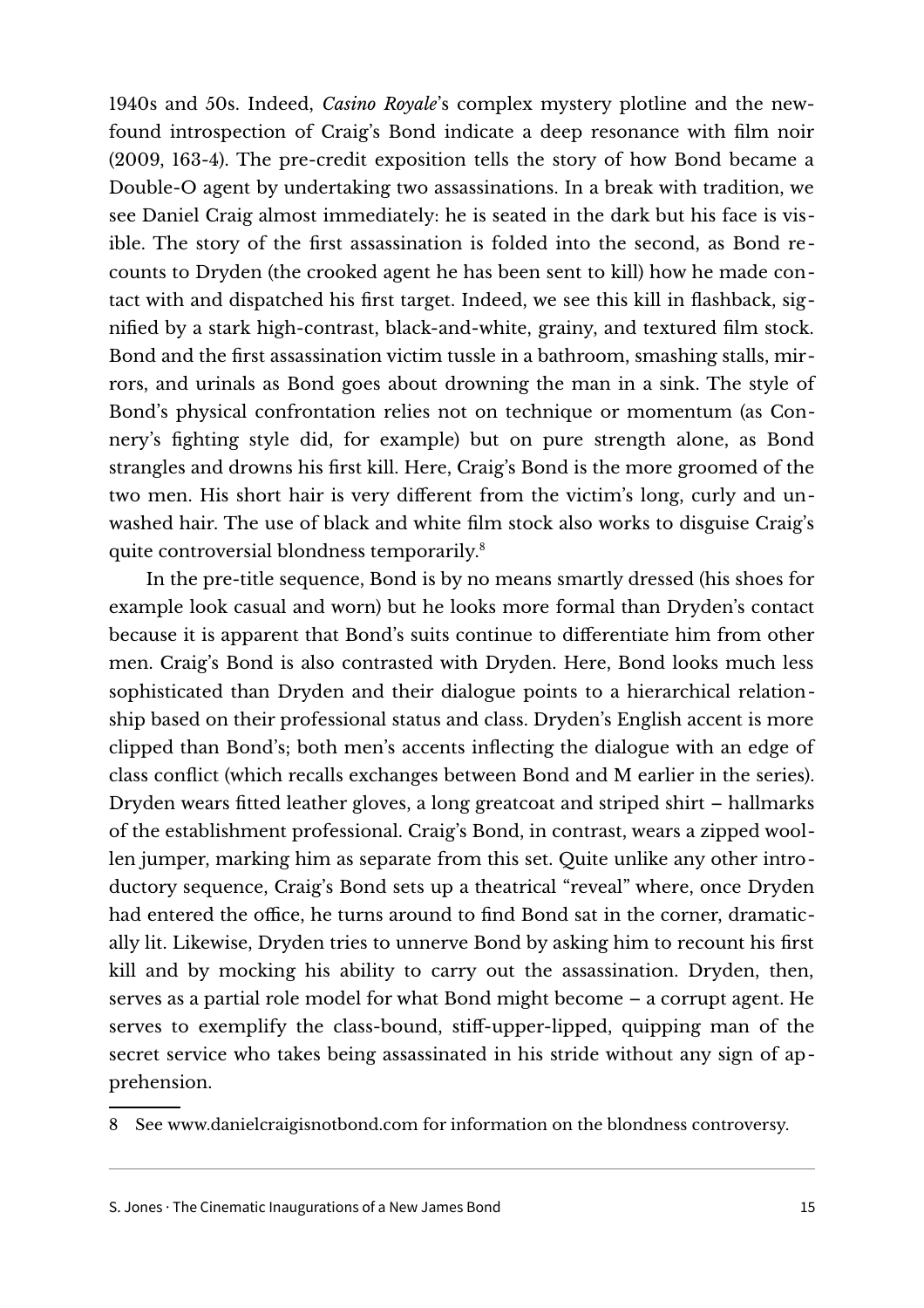1940s and 50s. Indeed, *Casino Royale*'s complex mystery plotline and the newfound introspection of Craig's Bond indicate a deep resonance with film noir (2009, 163-4). The pre-credit exposition tells the story of how Bond became a Double-O agent by undertaking two assassinations. In a break with tradition, we see Daniel Craig almost immediately: he is seated in the dark but his face is visible. The story of the first assassination is folded into the second, as Bond recounts to Dryden (the crooked agent he has been sent to kill) how he made contact with and dispatched his first target. Indeed, we see this kill in flashback, signified by a stark high-contrast, black-and-white, grainy, and textured film stock. Bond and the first assassination victim tussle in a bathroom, smashing stalls, mirrors, and urinals as Bond goes about drowning the man in a sink. The style of Bond's physical confrontation relies not on technique or momentum (as Connery's fighting style did, for example) but on pure strength alone, as Bond strangles and drowns his first kill. Here, Craig's Bond is the more groomed of the two men. His short hair is very different from the victim's long, curly and unwashed hair. The use of black and white film stock also works to disguise Craig's quite controversial blondness temporarily.[8](#page-14-0)

In the pre-title sequence, Bond is by no means smartly dressed (his shoes for example look casual and worn) but he looks more formal than Dryden's contact because it is apparent that Bond's suits continue to differentiate him from other men. Craig's Bond is also contrasted with Dryden. Here, Bond looks much less sophisticated than Dryden and their dialogue points to a hierarchical relationship based on their professional status and class. Dryden's English accent is more clipped than Bond's; both men's accents inflecting the dialogue with an edge of class conflict (which recalls exchanges between Bond and M earlier in the series). Dryden wears fitted leather gloves, a long greatcoat and striped shirt – hallmarks of the establishment professional. Craig's Bond, in contrast, wears a zipped woollen jumper, marking him as separate from this set. Quite unlike any other introductory sequence, Craig's Bond sets up a theatrical "reveal" where, once Dryden had entered the office, he turns around to find Bond sat in the corner, dramatically lit. Likewise, Dryden tries to unnerve Bond by asking him to recount his first kill and by mocking his ability to carry out the assassination. Dryden, then, serves as a partial role model for what Bond might become – a corrupt agent. He serves to exemplify the class-bound, stiff-upper-lipped, quipping man of the secret service who takes being assassinated in his stride without any sign of apprehension.

<span id="page-14-0"></span>8 See [www.danielcraigisnotbond.com](http://www.danielcraigisnotbond.com/) for information on the blondness controversy.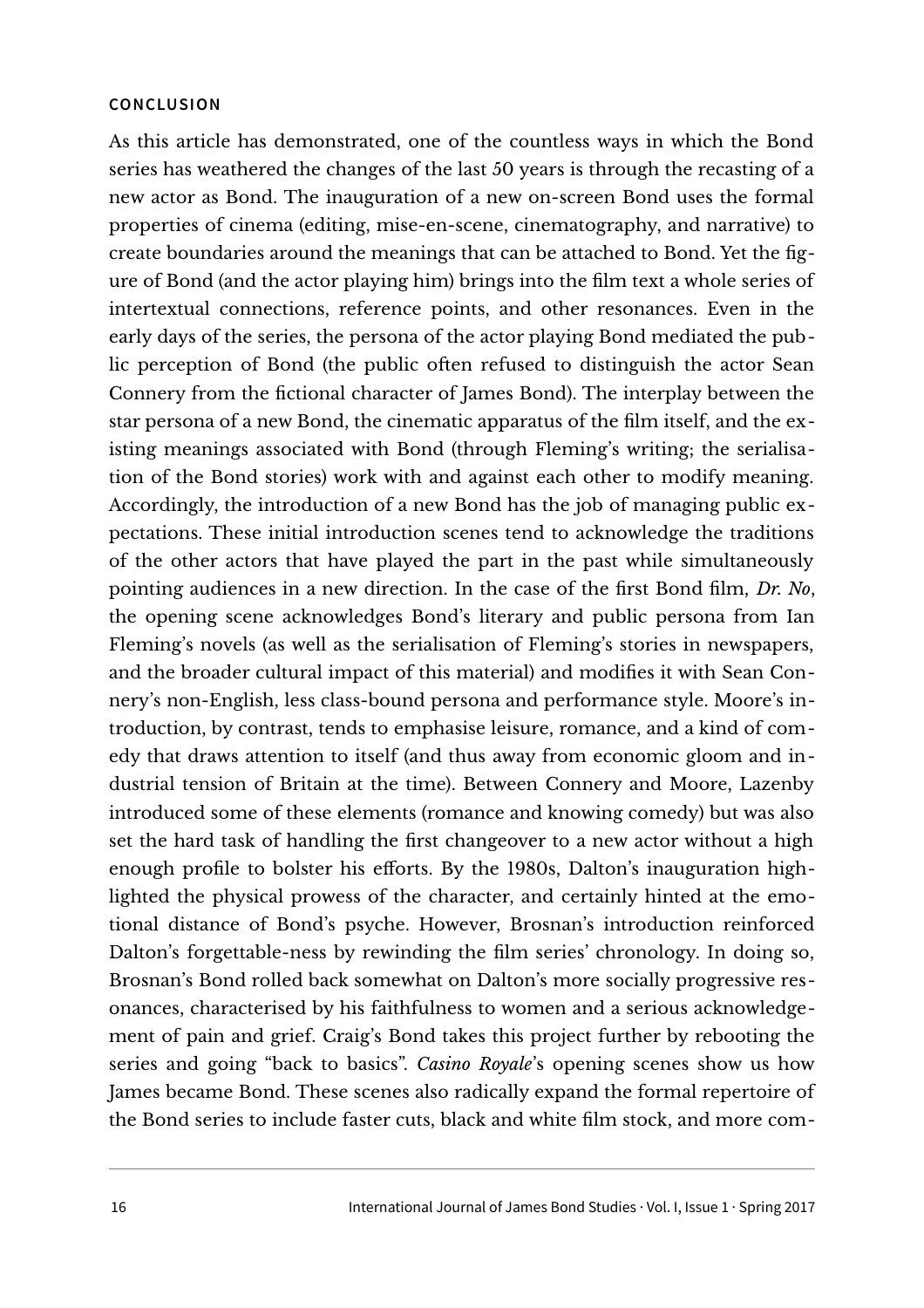#### **CONCLUSION**

As this article has demonstrated, one of the countless ways in which the Bond series has weathered the changes of the last 50 years is through the recasting of a new actor as Bond. The inauguration of a new on-screen Bond uses the formal properties of cinema (editing, mise-en-scene, cinematography, and narrative) to create boundaries around the meanings that can be attached to Bond. Yet the figure of Bond (and the actor playing him) brings into the film text a whole series of intertextual connections, reference points, and other resonances. Even in the early days of the series, the persona of the actor playing Bond mediated the public perception of Bond (the public often refused to distinguish the actor Sean Connery from the fictional character of James Bond). The interplay between the star persona of a new Bond, the cinematic apparatus of the film itself, and the existing meanings associated with Bond (through Fleming's writing; the serialisation of the Bond stories) work with and against each other to modify meaning. Accordingly, the introduction of a new Bond has the job of managing public expectations. These initial introduction scenes tend to acknowledge the traditions of the other actors that have played the part in the past while simultaneously pointing audiences in a new direction. In the case of the first Bond film, *Dr. No*, the opening scene acknowledges Bond's literary and public persona from Ian Fleming's novels (as well as the serialisation of Fleming's stories in newspapers, and the broader cultural impact of this material) and modifies it with Sean Connery's non-English, less class-bound persona and performance style. Moore's introduction, by contrast, tends to emphasise leisure, romance, and a kind of comedy that draws attention to itself (and thus away from economic gloom and industrial tension of Britain at the time). Between Connery and Moore, Lazenby introduced some of these elements (romance and knowing comedy) but was also set the hard task of handling the first changeover to a new actor without a high enough profile to bolster his efforts. By the 1980s, Dalton's inauguration highlighted the physical prowess of the character, and certainly hinted at the emotional distance of Bond's psyche. However, Brosnan's introduction reinforced Dalton's forgettable-ness by rewinding the film series' chronology. In doing so, Brosnan's Bond rolled back somewhat on Dalton's more socially progressive resonances, characterised by his faithfulness to women and a serious acknowledgement of pain and grief. Craig's Bond takes this project further by rebooting the series and going "back to basics". *Casino Royale*'s opening scenes show us how James became Bond. These scenes also radically expand the formal repertoire of the Bond series to include faster cuts, black and white film stock, and more com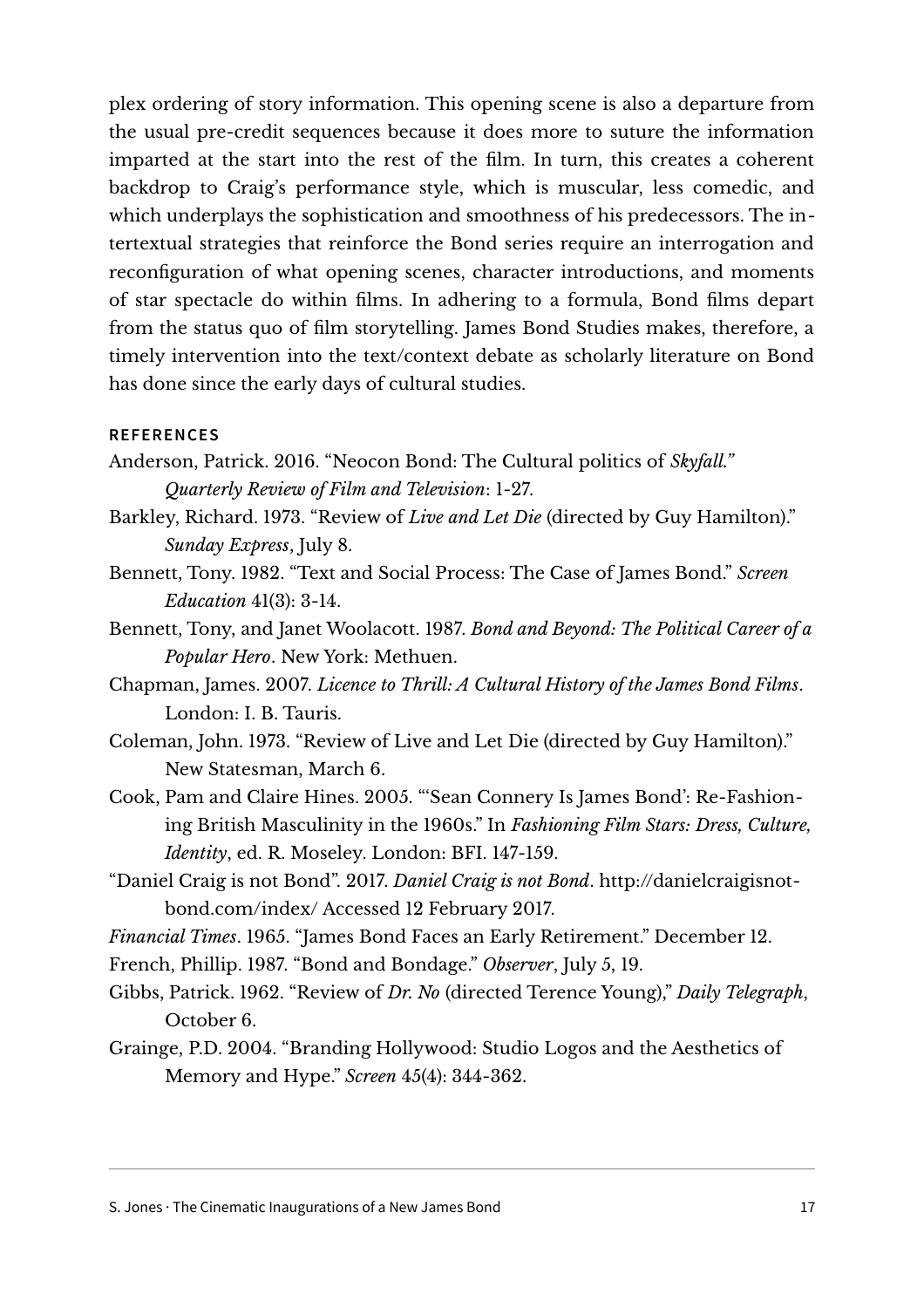plex ordering of story information. This opening scene is also a departure from the usual pre-credit sequences because it does more to suture the information imparted at the start into the rest of the film. In turn, this creates a coherent backdrop to Craig's performance style, which is muscular, less comedic, and which underplays the sophistication and smoothness of his predecessors. The intertextual strategies that reinforce the Bond series require an interrogation and reconfiguration of what opening scenes, character introductions, and moments of star spectacle do within films. In adhering to a formula, Bond films depart from the status quo of film storytelling. James Bond Studies makes, therefore, a timely intervention into the text/context debate as scholarly literature on Bond has done since the early days of cultural studies.

#### **REFERENCES**

- Anderson, Patrick. 2016. "Neocon Bond: The Cultural politics of *Skyfall." Quarterly Review of Film and Television*: 1-27.
- Barkley, Richard. 1973. "Review of *Live and Let Die* (directed by Guy Hamilton)." *Sunday Express*, July 8.
- Bennett, Tony. 1982. "Text and Social Process: The Case of James Bond." *Screen Education* 41(3): 3-14.
- Bennett, Tony, and Janet Woolacott. 1987. *Bond and Beyond: The Political Career of a Popular Hero*. New York: Methuen.
- Chapman, James. 2007. *Licence to Thrill: A Cultural History of the James Bond Films*. London: I. B. Tauris.
- Coleman, John. 1973. "Review of Live and Let Die (directed by Guy Hamilton)." New Statesman, March 6.
- Cook, Pam and Claire Hines. 2005. "'Sean Connery Is James Bond': Re-Fashioning British Masculinity in the 1960s." In *Fashioning Film Stars: Dress, Culture, Identity*, ed. R. Moseley. London: BFI. 147-159.
- "Daniel Craig is not Bond". 2017. *Daniel Craig is not Bond*. [http://danielcraigisnot](http://danielcraigisnotbond.com/index/)[bond.com/index/](http://danielcraigisnotbond.com/index/) Accessed 12 February 2017.
- *Financial Times*. 1965. "James Bond Faces an Early Retirement." December 12.
- French, Phillip. 1987. "Bond and Bondage." *Observer*, July 5, 19.
- Gibbs, Patrick. 1962. "Review of *Dr. No* (directed Terence Young)," *Daily Telegraph*, October 6.
- Grainge, P.D. 2004. "Branding Hollywood: Studio Logos and the Aesthetics of Memory and Hype." *Screen* 45(4): 344-362.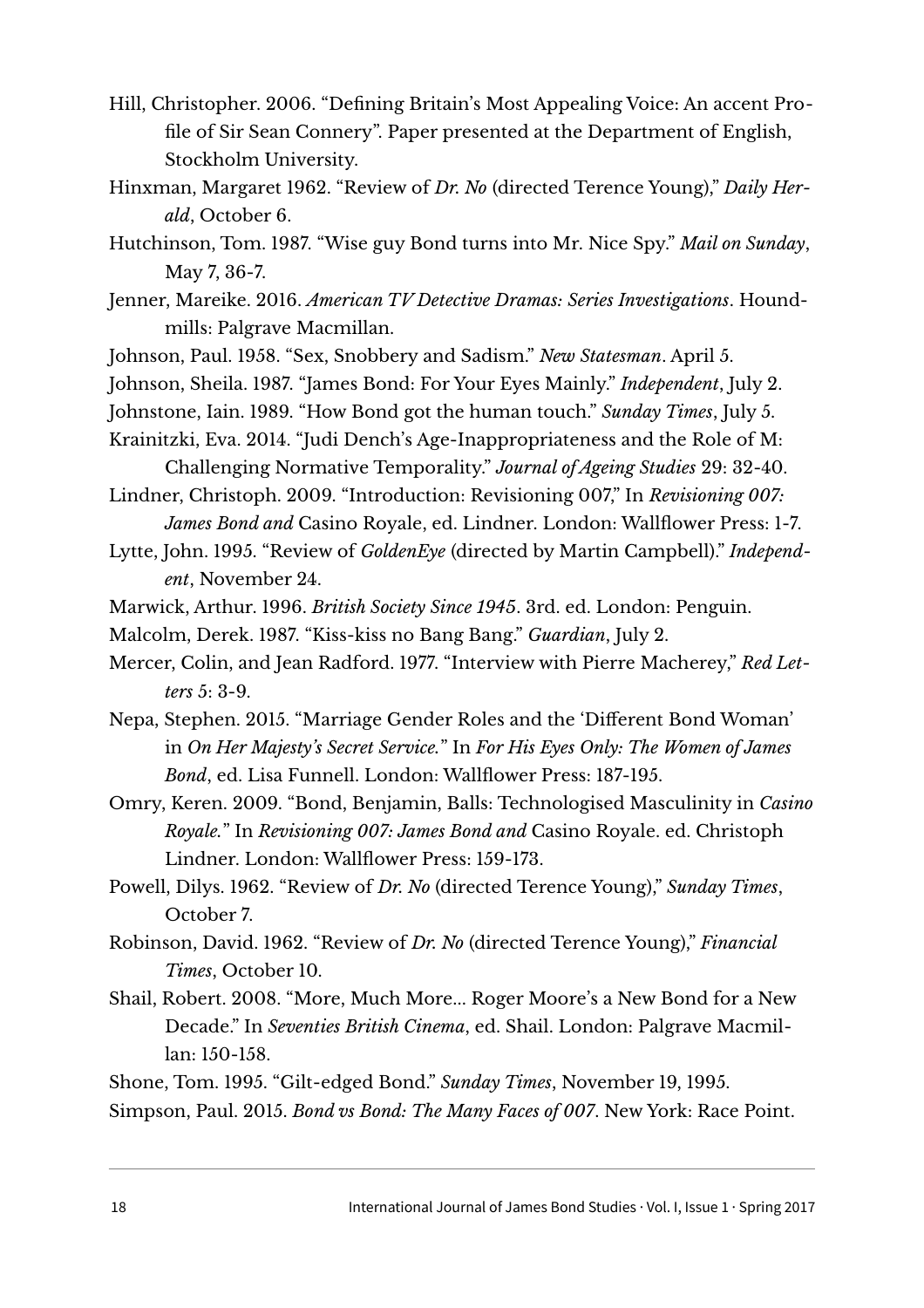- Hill, Christopher. 2006. "Defining Britain's Most Appealing Voice: An accent Profile of Sir Sean Connery". Paper presented at the Department of English, Stockholm University.
- Hinxman, Margaret 1962. "Review of *Dr. No* (directed Terence Young)," *Daily Herald*, October 6.
- Hutchinson, Tom. 1987. "Wise guy Bond turns into Mr. Nice Spy." *Mail on Sunday*, May 7, 36-7.
- Jenner, Mareike. 2016. *American TV Detective Dramas: Series Investigations*. Houndmills: Palgrave Macmillan.
- Johnson, Paul. 1958. "Sex, Snobbery and Sadism." *New Statesman*. April 5.
- Johnson, Sheila. 1987. "James Bond: For Your Eyes Mainly." *Independent*, July 2.
- Johnstone, Iain. 1989. "How Bond got the human touch." *Sunday Times*, July 5.
- Krainitzki, Eva. 2014. "Judi Dench's Age-Inappropriateness and the Role of M: Challenging Normative Temporality." *Journal of Ageing Studies* 29: 32-40.

Lindner, Christoph. 2009. "Introduction: Revisioning 007," In *Revisioning 007: James Bond and* Casino Royale, ed. Lindner. London: Wallflower Press: 1-7.

- Lytte, John. 1995. "Review of *GoldenEye* (directed by Martin Campbell)." *Independent*, November 24.
- Marwick, Arthur. 1996. *British Society Since 1945*. 3rd. ed. London: Penguin.
- Malcolm, Derek. 1987. "Kiss-kiss no Bang Bang." *Guardian*, July 2.
- Mercer, Colin, and Jean Radford. 1977. "Interview with Pierre Macherey," *Red Letters* 5: 3-9.
- Nepa, Stephen. 2015. "Marriage Gender Roles and the 'Different Bond Woman' in *On Her Majesty's Secret Service.*" In *For His Eyes Only: The Women of James Bond*, ed. Lisa Funnell. London: Wallflower Press: 187-195.
- Omry, Keren. 2009. "Bond, Benjamin, Balls: Technologised Masculinity in *Casino Royale.*" In *Revisioning 007: James Bond and* Casino Royale. ed. Christoph Lindner. London: Wallflower Press: 159-173.
- Powell, Dilys. 1962. "Review of *Dr. No* (directed Terence Young)," *Sunday Times*, October 7.
- Robinson, David. 1962. "Review of *Dr. No* (directed Terence Young)," *Financial Times*, October 10.
- Shail, Robert. 2008. "More, Much More... Roger Moore's a New Bond for a New Decade." In *Seventies British Cinema*, ed. Shail. London: Palgrave Macmillan: 150-158.
- Shone, Tom. 1995. "Gilt-edged Bond." *Sunday Times*, November 19, 1995. Simpson, Paul. 2015. *Bond vs Bond: The Many Faces of 007*. New York: Race Point.